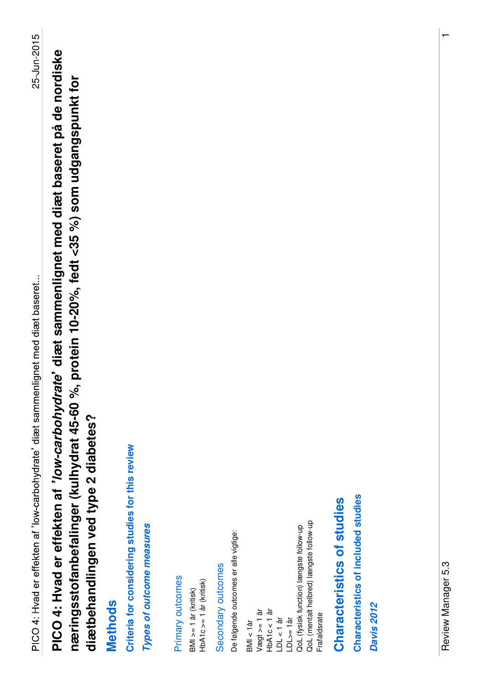**PICO 4: Hvad er effekten af low-carbohydrate diæt sammenlignet med diæt baseret på de nordiske**  PICO 4: Hvad er effekten af 'low-carbohydrate' diæt sammenlignet med diæt baseret på de nordiske **næringsstofanbefalinger (kulhydrat 45-60 %, protein 10-20%, fedt <35 %) som udgangspunkt for**  næringsstofanbefalinger (kulhydrat 45-60 %, protein 10-20%, fedt <35 %) som udgangspunkt for diætbehandlingen ved type 2 diabetes? **diætbehandlingen ved type 2 diabetes?**

#### **Methods**

Criteria for considering studies for this review **Criteria for considering studies for this review**

Types of outcome measures **Types of outcome measures**

Primary outcomes Primary outcomes

 $HbA1c = 1$  år (kritisk) HbA1c >= 1 år (kritisk) BMI >= 1 år (kritisk)  $BMI = 1$  år (kritisk)

Secondary outcomes Secondary outcomes De følgende outcomes er alle vigtige: De følgende outcomes er alle vigtige:

QoL (mentalt helbred) længste follow-up QoL (mentalt helbred) længste follow-up QoL (fysisk function) længste follow-up LDL>= 1år<br>QoL (fysisk function) længste follow-up HbA1c < 1 år  $V$ ægt >= 1 år Vægt >= 1 år  $HDA1C < 1$  år Frafaldsrate Frafaldsrate LDL < 1 år BMI < 1år

# Characteristics of studies **Characteristics of studies**

Characteristics of included studies **Characteristics of included studies**

**Davis 2012 Davis 2012**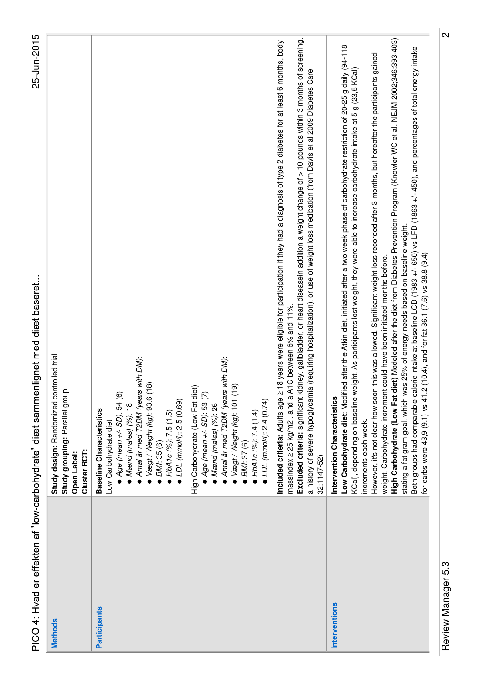| 25-Jun-2015<br>PICO 4: Hvad er effekten af 'low-carbohydrate' diæt sammenlignet med diæt baseret<br>Study design: Randomized controlled trial<br>with DM):<br>Antal år med T2DM (years with DM):<br>$\frac{\infty}{2}$<br>ெ<br>High Carbohydrate (Low Fat diet)<br>Study grouping: Parallel group<br>$Age$ (mean $+/-$ SD): 54 (6)<br>Antal år med T2DM (years<br>$V$ ægt / Weight (kg): 93.6 (<br>$Age(mean +/- SD): 53(7)$<br>Vægt / Weight (kg): 101 (1<br>■ LDL (mmol/l): 2.4 (0.74)<br>• LDL (mmol/l): 2.5 (0.69)<br>$Mand$ (males) (%): 26<br>Mand (males) $(%): 18$<br>Baseline Characteristics<br>HbA1c (%): 7.5 (1.5)<br>• HbA1c $(%$ ): 7.4 (1.4)<br>Low Carbohydrate diet<br>BMI: 35 (6)<br>BMI: 37 (6)<br>Cluster RCT:<br>Open Label:<br><b>Participants</b><br><b>Methods</b> | Excluded criteria: significant kidney, gallbladder, or heart diseasein addition a weight change of > 10 pounds within 3 months of screening<br>Included criteria: Adults age ≥ 18 years were eligible for participation if they had a diagnosis of type 2 diabetes for at least 6 months, body<br>a history of severe hypoglycamia (requiring hospitalization), or use of weight loss medication (from Davis et al 2009 Diabetes Care<br>massindex $\geq$ 25 kg/m2, and a A1C between 6% and 11%.<br>32:1147-52) | High Carbohydrate (Low Fat diet) Modeled after the diet from Diabetes Prevention Program (Knowler WC et al. NEJM 2002;346:393-403)<br>Low Carbohydrate diet: Modified after the Atkin diet, initiated after a two week phase of carbohydrate restriction of 20-25 g daily (94-118<br>Both groups had comparable caloric intake at baseline LCD (1983 +/- 650) vs LFD (1863 +/- 450), and percentages of total energy intake<br>However, it's not clear how soon this was allowed. Significant weight loss recorded after 3 months, but hereafter the participants gained<br>eight. As participants lost weight, they were able to increase carbohydrate intake at 5 g (23,5 KCal)<br>stating a fat gram goal, which was 25% of energy needs based on baseline weight.<br>weight. Carbohydrate increment could have been initiated months before.<br>KCal), depending on baseline w<br>Intervention Characteristics<br>increments each week.<br><b>Interventions</b> |
|--------------------------------------------------------------------------------------------------------------------------------------------------------------------------------------------------------------------------------------------------------------------------------------------------------------------------------------------------------------------------------------------------------------------------------------------------------------------------------------------------------------------------------------------------------------------------------------------------------------------------------------------------------------------------------------------------------------------------------------------------------------------------------------------|------------------------------------------------------------------------------------------------------------------------------------------------------------------------------------------------------------------------------------------------------------------------------------------------------------------------------------------------------------------------------------------------------------------------------------------------------------------------------------------------------------------|---------------------------------------------------------------------------------------------------------------------------------------------------------------------------------------------------------------------------------------------------------------------------------------------------------------------------------------------------------------------------------------------------------------------------------------------------------------------------------------------------------------------------------------------------------------------------------------------------------------------------------------------------------------------------------------------------------------------------------------------------------------------------------------------------------------------------------------------------------------------------------------------------------------------------------------------------------------------|
|--------------------------------------------------------------------------------------------------------------------------------------------------------------------------------------------------------------------------------------------------------------------------------------------------------------------------------------------------------------------------------------------------------------------------------------------------------------------------------------------------------------------------------------------------------------------------------------------------------------------------------------------------------------------------------------------------------------------------------------------------------------------------------------------|------------------------------------------------------------------------------------------------------------------------------------------------------------------------------------------------------------------------------------------------------------------------------------------------------------------------------------------------------------------------------------------------------------------------------------------------------------------------------------------------------------------|---------------------------------------------------------------------------------------------------------------------------------------------------------------------------------------------------------------------------------------------------------------------------------------------------------------------------------------------------------------------------------------------------------------------------------------------------------------------------------------------------------------------------------------------------------------------------------------------------------------------------------------------------------------------------------------------------------------------------------------------------------------------------------------------------------------------------------------------------------------------------------------------------------------------------------------------------------------------|

Review Manager 5.3 2 Review Manager 5.3

 $|_{\mathsf{N}}$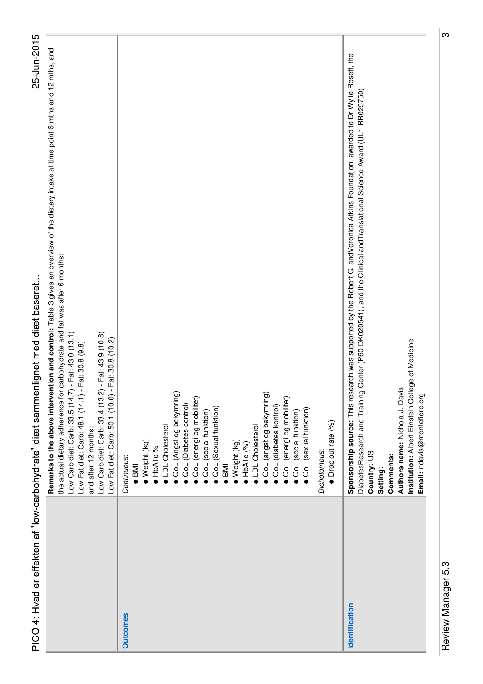|                 | 25-Jun-2015<br>PICO 4: Hvad er effekten af 'low-carbohydrate' diæt sammenlignet med diæt baseret                                                                                                                                                                                                                                                                                                                                                                                      |  |
|-----------------|---------------------------------------------------------------------------------------------------------------------------------------------------------------------------------------------------------------------------------------------------------------------------------------------------------------------------------------------------------------------------------------------------------------------------------------------------------------------------------------|--|
|                 | Remarks to the above intervention and control: Table 3 gives an overview of the dietary intake at time point 6 mths and 12 mths, and<br>carbohydrate and fat was after 6 months:<br>$-$ Fat: 43.0 (13.1)<br>$-$ Fat: 43.9 (10.8)<br>Fat: 30.8 (10.2)<br>Fat: 30.8 (9.8)<br>the actual dietary adherence for<br>Low Carb diet: Carb: 33.5 (14.7)<br>Low Fat diet: Carb: 48.1 (14.1) -<br>Low Carb diet: Carb: 33.4 (13.2)<br>Low Fat diet: Carb: 50.1 (10.0) -<br>and after 12 months: |  |
| <b>Outcomes</b> | QoL (Angst og bekymring)<br>QoL (angst og bekymring)<br>QoL (energi og mobilitet)<br>QoL (energi og mobilitet)<br>QoL (Diabetes control)<br>QoL (diabetes kontrol)<br>QoL (Sexual funktion)<br>OoL (sexual funktion)<br>QoL (social funktion)<br>QoL (social funktion)<br>Drop out rate (%)<br><b>LDL</b> Cholesterol<br>LDL Cholesterol<br>Weight (kg)<br>Weight (kg)<br>$\bullet$ HbA1c (%)<br>IbA1c%<br>Dichotomous:<br>Continuous:<br><b>IMB</b><br>$\overline{\phantom{1}}$ BMI  |  |
| Identification  | Sponsorship source: This research was supported by the Robert C. andVeronica Atkins Foundation, awarded to Dr Wylie-Rosett, the<br>Center (P60 DK020541), and the Clinical and Translational Science Award (UL1 RR025750)<br>Institution: Albert Einstein College of Medicine<br>Authors name: Nichola J. Davis<br>Diabetes Research and Training<br>Email: ndavis@montefiore.org<br>Country: US<br>Comments:<br>Setting:                                                             |  |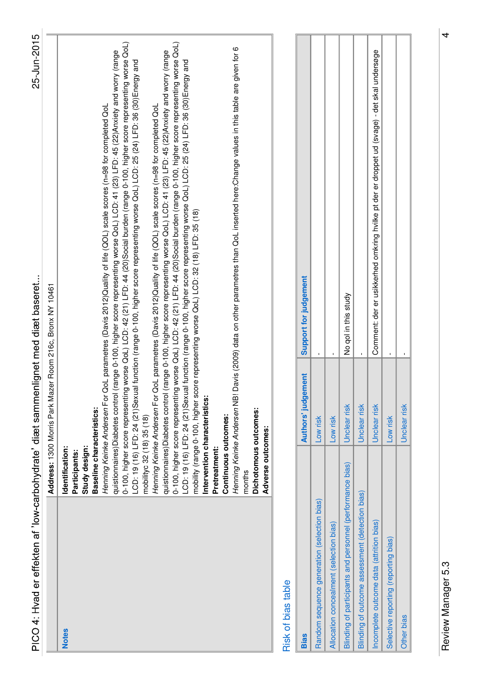| PICO 4: Hvad er effekten af 'low-carbohydrate' diæt sammenlignet med diæt baseret |                                                                                                                                                                                                                                                                                                                                                                                                                                                                             | 25-Jun-2015                                                                                                                                                                                                                                                                                                                                                                                                                                                                                                                                                                                                                                                                                                                                                                                                                                                                                                                                                                                                                                                                                         |  |
|-----------------------------------------------------------------------------------|-----------------------------------------------------------------------------------------------------------------------------------------------------------------------------------------------------------------------------------------------------------------------------------------------------------------------------------------------------------------------------------------------------------------------------------------------------------------------------|-----------------------------------------------------------------------------------------------------------------------------------------------------------------------------------------------------------------------------------------------------------------------------------------------------------------------------------------------------------------------------------------------------------------------------------------------------------------------------------------------------------------------------------------------------------------------------------------------------------------------------------------------------------------------------------------------------------------------------------------------------------------------------------------------------------------------------------------------------------------------------------------------------------------------------------------------------------------------------------------------------------------------------------------------------------------------------------------------------|--|
|                                                                                   | Address: 1300 Morris Park Mazer Room 216c, Bronx NY 10461                                                                                                                                                                                                                                                                                                                                                                                                                   |                                                                                                                                                                                                                                                                                                                                                                                                                                                                                                                                                                                                                                                                                                                                                                                                                                                                                                                                                                                                                                                                                                     |  |
| months<br><b>Notes</b>                                                            | quistionnaires) Diabetes control<br>0-100, higher score representin<br>LCD: 19 (16) LFD: 24 (21)Sexu<br>Henning Keinke Andersen For<br>quistionnaires) Diabetes control<br>Intervention characteristics:<br>Henning Keinke Andersen For<br>Henning Keinke Andersen NB<br>Baseline characteristics:<br>Dichotomous outcomes:<br>Continuous outcomes:<br>mobilityc 32 (18) 35 (18)<br>Adverse outcomes:<br>Study design:<br>Identification:<br>Pretreatment:<br>Participants: | og worse QoL) LCD: 42 (21) LFD: 44 (20)Social burden (range 0-100, higher score representing worse QoL)<br>0-100, higher score representing worse QoL) LCD: 42 (21) LFD: 44 (20)Social burden (range 0-100, higher score representing worse QoL)<br>Davis (2009) data on other parametres than QoL inserted here: Change values in this table are given for 6<br>(range 0-100, higher score representing worse QoL) LCD: 41 (23) LFD: 45 (22) Anxiety and worry (range<br>(range 0-100, higher score representing worse QoL) LCD: 41 (23) LFD: 45 (22) Anxiety and worry (range<br>al function (range 0-100, higher score representing worse QoL) LCD: 25 (24) LFD: 36 (30)Energy and<br>LCD: 19 (16) LFD: 24 (21)Sexual function (range 0-100, higher score representing worse QoL) LCD: 25 (24) LFD: 36 (30)Energy and<br>QoL parametres (Davis 2012)Quality of life (QOL) scale scores (n=98 for completed QoL<br>QoL parametres (Davis 2012)Quality of life (QOL) scale scores (n=98 for completed QoL<br>mobility (range 0-100, higher score representing worse QoL) LCD: 32 (18) LFD: 35 (18) |  |
| Risk of bias table                                                                |                                                                                                                                                                                                                                                                                                                                                                                                                                                                             |                                                                                                                                                                                                                                                                                                                                                                                                                                                                                                                                                                                                                                                                                                                                                                                                                                                                                                                                                                                                                                                                                                     |  |
| <b>Bias</b>                                                                       | <b>Authors' judgement</b>                                                                                                                                                                                                                                                                                                                                                                                                                                                   | Support for judgement                                                                                                                                                                                                                                                                                                                                                                                                                                                                                                                                                                                                                                                                                                                                                                                                                                                                                                                                                                                                                                                                               |  |
| Random sequence generation (selection bias)                                       | Low risk                                                                                                                                                                                                                                                                                                                                                                                                                                                                    |                                                                                                                                                                                                                                                                                                                                                                                                                                                                                                                                                                                                                                                                                                                                                                                                                                                                                                                                                                                                                                                                                                     |  |
| Allocation concealment (selection bias)                                           | Low risk                                                                                                                                                                                                                                                                                                                                                                                                                                                                    |                                                                                                                                                                                                                                                                                                                                                                                                                                                                                                                                                                                                                                                                                                                                                                                                                                                                                                                                                                                                                                                                                                     |  |
| Blinding of participants and personnel (performance bias)                         | Unclear risk                                                                                                                                                                                                                                                                                                                                                                                                                                                                | No qol in this study                                                                                                                                                                                                                                                                                                                                                                                                                                                                                                                                                                                                                                                                                                                                                                                                                                                                                                                                                                                                                                                                                |  |
| Blinding of outcome assessment (detection bias)                                   | Unclear risk                                                                                                                                                                                                                                                                                                                                                                                                                                                                |                                                                                                                                                                                                                                                                                                                                                                                                                                                                                                                                                                                                                                                                                                                                                                                                                                                                                                                                                                                                                                                                                                     |  |
| Incomplete outcome data (attrition bias)                                          | Unclear risk                                                                                                                                                                                                                                                                                                                                                                                                                                                                | Comment: der er usikkerhed omkring hvilke pt der er droppet ud (svage) - det skal undersøge                                                                                                                                                                                                                                                                                                                                                                                                                                                                                                                                                                                                                                                                                                                                                                                                                                                                                                                                                                                                         |  |
| Selective reporting (reporting bias)                                              | Low risk                                                                                                                                                                                                                                                                                                                                                                                                                                                                    |                                                                                                                                                                                                                                                                                                                                                                                                                                                                                                                                                                                                                                                                                                                                                                                                                                                                                                                                                                                                                                                                                                     |  |
| Other bias                                                                        | Unclear risk                                                                                                                                                                                                                                                                                                                                                                                                                                                                |                                                                                                                                                                                                                                                                                                                                                                                                                                                                                                                                                                                                                                                                                                                                                                                                                                                                                                                                                                                                                                                                                                     |  |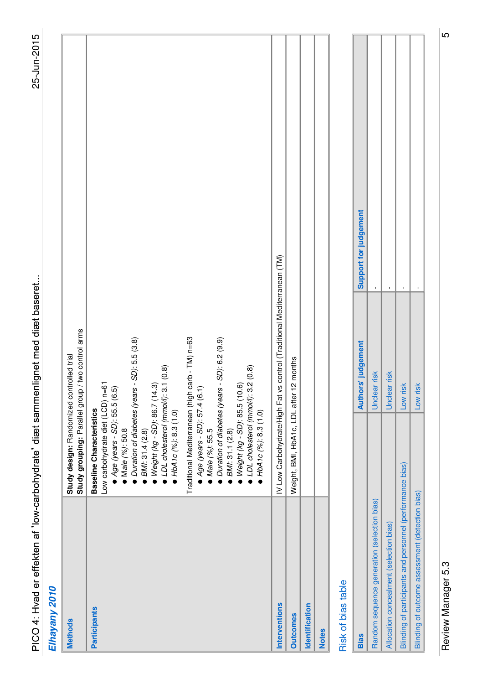| Elhayany 2010             |                                                                                                                                                                                                                                                                                                                                                                                                                                                  |                                                                                                                                                                                |                       |
|---------------------------|--------------------------------------------------------------------------------------------------------------------------------------------------------------------------------------------------------------------------------------------------------------------------------------------------------------------------------------------------------------------------------------------------------------------------------------------------|--------------------------------------------------------------------------------------------------------------------------------------------------------------------------------|-----------------------|
| <b>Methods</b>            | Study design: Randomized controlled trial                                                                                                                                                                                                                                                                                                                                                                                                        | Study grouping: Parallel group / two control arms                                                                                                                              |                       |
| <b>Participants</b>       | $\bullet$ Weight (kg - SD): 86.7 (14.3)<br>$\bullet$ LDL cholesterol (mmol/l): 3.1 (0.8)<br>$\bullet$ Weight (kg - SD): 85.5 (10.6)<br>$\bullet$ LDL cholesterol (mmol/l): 3.2 (0.8)<br>Age (years - SD): 57.4 (6.1)<br>Low carbohydrate diet (LCD)<br>Age (years - SD): 55.5<br>Traditional Mediterranean (hi<br>Baseline Characteristics<br>HDA1C(%): 8.3(1.0)<br>HbA1c (%): 8.3 (1.0)<br>BMI: 31.4 (2.8)<br>BMI: 31.1 (2.8)<br>Male (%): 50.8 | igh carb - TM) n=63<br>· Duration of diabetes (years - SD): 5.5 (3.8)<br>$\bullet$ Male (%): 55.5<br>$\bullet$ Duration of diabetes (years - SD): 6.2 (9.9)<br>$n=61$<br>(6.5) |                       |
| Interventions             |                                                                                                                                                                                                                                                                                                                                                                                                                                                  | IV Low Carbohydrate/High Fat vs control (Traditional Mediterranean (TM)                                                                                                        |                       |
| <b>Outcomes</b>           | Weight, BMI, HbA1c, LDL after 12 months                                                                                                                                                                                                                                                                                                                                                                                                          |                                                                                                                                                                                |                       |
| Identification            |                                                                                                                                                                                                                                                                                                                                                                                                                                                  |                                                                                                                                                                                |                       |
| <b>Notes</b>              |                                                                                                                                                                                                                                                                                                                                                                                                                                                  |                                                                                                                                                                                |                       |
| <b>Risk of bias table</b> |                                                                                                                                                                                                                                                                                                                                                                                                                                                  |                                                                                                                                                                                |                       |
| <b>Bias</b>               |                                                                                                                                                                                                                                                                                                                                                                                                                                                  | Authors' judgement                                                                                                                                                             | Support for judgement |

| <b>Bias</b>                                               | <b>Authors' judgement</b> | Support for judgement |
|-----------------------------------------------------------|---------------------------|-----------------------|
| Random sequence generation (selection bias)               | Unclear risk              |                       |
| Allocation concealment (selection bias)                   | Unclear risk              |                       |
| Blinding of participants and personnel (performance bias) | Low risk                  |                       |
| Blinding of outcome assessment (detection bias)           | Low risk                  |                       |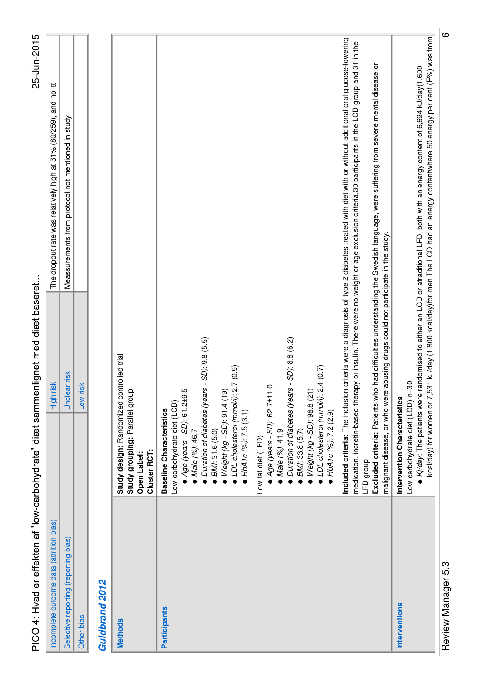| PICO 4: Hvad er effekten af 'low-carbohydrate' diæt samm |                                                                                                                                                                                                                                                                                                                                                                                                                                                                          | enlignet med diæt baseret                                                                                                                                                        | 25-Jun-2015                                                                                                                                                                                                                                                                                                                                                                                                                           |
|----------------------------------------------------------|--------------------------------------------------------------------------------------------------------------------------------------------------------------------------------------------------------------------------------------------------------------------------------------------------------------------------------------------------------------------------------------------------------------------------------------------------------------------------|----------------------------------------------------------------------------------------------------------------------------------------------------------------------------------|---------------------------------------------------------------------------------------------------------------------------------------------------------------------------------------------------------------------------------------------------------------------------------------------------------------------------------------------------------------------------------------------------------------------------------------|
| Incomplete outcome data (attrition bias)                 |                                                                                                                                                                                                                                                                                                                                                                                                                                                                          | High risk                                                                                                                                                                        | The dropout rate was relatively high at 31% (80/259), and no itt                                                                                                                                                                                                                                                                                                                                                                      |
| Selective reporting (reporting bias)                     |                                                                                                                                                                                                                                                                                                                                                                                                                                                                          | Unclear risk                                                                                                                                                                     | Meassurements from protocol not mentioned in study                                                                                                                                                                                                                                                                                                                                                                                    |
| Other bias                                               |                                                                                                                                                                                                                                                                                                                                                                                                                                                                          | risk<br>Low                                                                                                                                                                      |                                                                                                                                                                                                                                                                                                                                                                                                                                       |
| Guldbrand 2012                                           |                                                                                                                                                                                                                                                                                                                                                                                                                                                                          |                                                                                                                                                                                  |                                                                                                                                                                                                                                                                                                                                                                                                                                       |
| <b>Methods</b>                                           | Study design: Randomized controlled trial<br>Study grouping: Parallel group<br>Cluster RCT:<br>Open Label:                                                                                                                                                                                                                                                                                                                                                               |                                                                                                                                                                                  |                                                                                                                                                                                                                                                                                                                                                                                                                                       |
| <b>Participants</b>                                      | • LDL cholesterol (mmol/l): 2.7 (0.9)<br>$\bullet$ Weight (kg - SD): 98.8 (21)<br>$\bullet$ LDL cholesterol (mmol/l): 2.4 (0.7)<br>$\blacktriangle$ Age (years - SD): 62.7 $\pm$ 11.0<br>$Age(years - SD)$ : 61.2±9.5<br>Weight (kg - SD): 91.4 (19)<br>Low carbohydrate diet (LCD)<br>Baseline Characteristics<br>HbA1c(%): 7.5(3.1)<br>HbA1c(%): 7.2(2.9)<br>BMI: 31.6 (5.0)<br>Male (%): 41.9<br>BMI: 33.8 (5.7)<br>Male (%): 46.7<br>Low fat diet (LFD)<br>LFD group | malignant disease, or who were abusing drugs could not participate in the study.<br>Duration of diabetes (years - SD): 9.8 (5.5)<br>Duration of diabetes (years - SD): 8.8 (6.2) | Included criteria: The inclusion criteria were a diagnosis of type 2 diabetes treated with diet with or without additional oral glucose-lowering<br>medication, incretin-based therapy or insulin. There were no weight or age exclusion criteria.30 participants in the LCD group and 31 in the<br>Excluded criteria: Patients who had difficulties understanding the Swedish language, were suffering from severe mental disease or |
| Interventions                                            | Intervention Characteristics<br>Low carbohydrate diet (LCD)                                                                                                                                                                                                                                                                                                                                                                                                              | $n=30$                                                                                                                                                                           | kcal/day) for women or 7,531 kJ/day (1,800 kcal/day)for men The LCD had an energy contentwhere 50 energy per cent (E%) was from<br>■ Kj/day: The patients were randomised to either an LCD or atraditional LFD, both with an energy content of 6,694 kJ/day(1,600                                                                                                                                                                     |

Review Manager 5.3 6 Review Manager 5.3

|ഗ

25-Jun-2015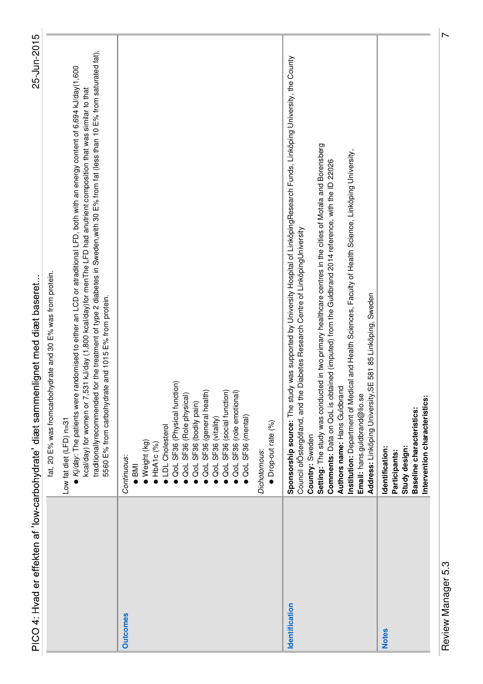|                 | PICO 4: Hvad er effekten af 'low-carbohydrate' diæt sammenlignet med diæt baseret                                                                                                                                                                                                                                                                                                                                                                                                                                                                                                                                                                                                                        | 25-Jun-2015 |
|-----------------|----------------------------------------------------------------------------------------------------------------------------------------------------------------------------------------------------------------------------------------------------------------------------------------------------------------------------------------------------------------------------------------------------------------------------------------------------------------------------------------------------------------------------------------------------------------------------------------------------------------------------------------------------------------------------------------------------------|-------------|
|                 | traditionallyrecommended for the treatment of type 2 diabetes in Sweden, with 30 E% from fat (less than 10 E% from saturated fat),<br>● Kj/day: The patients were randomised to either an LCD or atraditional LFD, both with an energy content of 6,694 kJ/day(1,600<br>kcal/day) for women or 7,531 kJ/day (1,800 kcal/day)for menThe LFD had anutrient composition that was similar to that<br>fat, 20 E% was fromcarbohydrate and 30 E% was from protein.<br>5560 E% from carbohydrate and 1015 E% from protein.<br>Low fat diet (LFD) n=31                                                                                                                                                           |             |
| <b>Outcomes</b> | QoL SF36 (Physical function)<br>QoL SF36 (general health)<br>QoL SF36 (social function)<br>QoL SF36 (role emotional)<br>QoL SF36 (Role physical)<br>QoL SF36 (bodily pain)<br>QoL SF36 (mental)<br>QoL SF36 (vitality)<br>LDL Cholesterol<br>Weight (kg)<br>HbA1c(%)<br>Continuous:<br>IMI                                                                                                                                                                                                                                                                                                                                                                                                               |             |
|                 | Drop-out rate (%)<br>Dichotomous:                                                                                                                                                                                                                                                                                                                                                                                                                                                                                                                                                                                                                                                                        |             |
| Identification  | Sponsorship source: The study was supported by University Hospital of LinköpingResearch Funds, Linköping University, the County<br>Setting: The study was conducted in two primary healthcare centres in the cities of Motala and Borensberg<br>Institution: Department of Medical and Health Sciences, Faculty of Health Science, Linköping University,<br>Comments: Data on QoL is obtained (imputed) from the Guldbrand 2014 reference, with the ID 22026<br>Diabetes Research Centre of LinköpingUniversity<br>E 581 85 Linköping, Sweden<br>Authors name: Hans Guldbrand<br>Address: Linköping University, S<br>Council of Östergötland, and the<br>Email: hans.guldbrand@lio.se<br>Country: Sweden |             |
| <b>Notes</b>    | Intervention characteristics:<br>Baseline characteristics:<br>Study design:<br>Identification:<br>Participants:                                                                                                                                                                                                                                                                                                                                                                                                                                                                                                                                                                                          |             |

Review Manager 5.3 7 Review Manager 5.3

 $\overline{r}$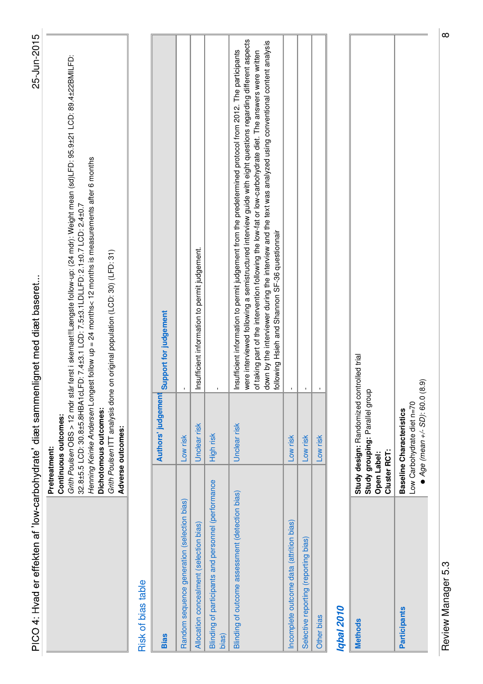| PICO 4: Hvad er effekten af 'low-carbohydrate' diæt sammenlignet med diæt baseret |                                                                                                            | 25-Jun-2015                                                                                                                                                                                                                                                                                                                                                                                                                                                                                             |
|-----------------------------------------------------------------------------------|------------------------------------------------------------------------------------------------------------|---------------------------------------------------------------------------------------------------------------------------------------------------------------------------------------------------------------------------------------------------------------------------------------------------------------------------------------------------------------------------------------------------------------------------------------------------------------------------------------------------------|
|                                                                                   | Dichotomous outcomes:<br>Continuous outcomes:<br>Adverse outcomes:<br>Pretreatment:                        | Grith Poulsen OBS > 12 mdr står først i skemaet!!Længste follow-up: (24 mdr): Weight mean (sd)LFD: 95.9±21 LCD: 89.4±22BMILFD:<br>Henning Keinke Andersen Longest follow up = 24 months< 12 months is measurements after 6 months<br>32.8±5.5 LCD: 30.8±5.8HBA1cLFD: 7.4±3.1 LCD: 7.5±3.1LDLLFD: 2.1±0.7 LCD: 2.4±0.7<br>Grith Poulsen ITT analysis done on original population (LCD: 30) (LFD: 31)                                                                                                     |
| Risk of bias table                                                                |                                                                                                            |                                                                                                                                                                                                                                                                                                                                                                                                                                                                                                         |
| <b>Bias</b>                                                                       | Authors' judgement                                                                                         | Support for judgement                                                                                                                                                                                                                                                                                                                                                                                                                                                                                   |
| Random sequence generation (selection bias)                                       | Low risk                                                                                                   |                                                                                                                                                                                                                                                                                                                                                                                                                                                                                                         |
| Allocation concealment (selection bias)                                           | Unclear risk                                                                                               | Insufficient information to permit judgement.                                                                                                                                                                                                                                                                                                                                                                                                                                                           |
| Blinding of participants and personnel (performance<br>bias)                      | High risk                                                                                                  |                                                                                                                                                                                                                                                                                                                                                                                                                                                                                                         |
| Blinding of outcome assessment (detection bias)                                   | Unclear risk                                                                                               | were interviewed following a semistructured interview guide with eight questions regarding different aspects<br>down by the interviewer during the interview and the text was analyzed using conventional content analysis<br>Insufficient information to permit judgement from the predetermined protocol from 2012. The participants<br>of taking part of the intervention following the low-fat or low-carbohydrate diet. The answers were written<br>following Hsieh and Shannon SF-36 questionnair |
| Incomplete outcome data (attrition bias)                                          | Low risk                                                                                                   |                                                                                                                                                                                                                                                                                                                                                                                                                                                                                                         |
| Selective reporting (reporting bias)                                              | Low risk                                                                                                   |                                                                                                                                                                                                                                                                                                                                                                                                                                                                                                         |
| Other bias                                                                        | Low risk                                                                                                   |                                                                                                                                                                                                                                                                                                                                                                                                                                                                                                         |
| <b>Iqbal 2010</b>                                                                 |                                                                                                            |                                                                                                                                                                                                                                                                                                                                                                                                                                                                                                         |
| <b>Methods</b>                                                                    | Study design: Randomized controlled trial<br>Study grouping: Parallel group<br>Cluster RCT:<br>Open Label: |                                                                                                                                                                                                                                                                                                                                                                                                                                                                                                         |
| <b>Participants</b>                                                               | $Age(mean + / - SD)$ : 60.0 (8.9)<br>Low Carbohydrate diet n=70<br><b>Baseline Characteristics</b>         |                                                                                                                                                                                                                                                                                                                                                                                                                                                                                                         |

Review Manager 5.3 8 Review Manager 5.3

 $\circ$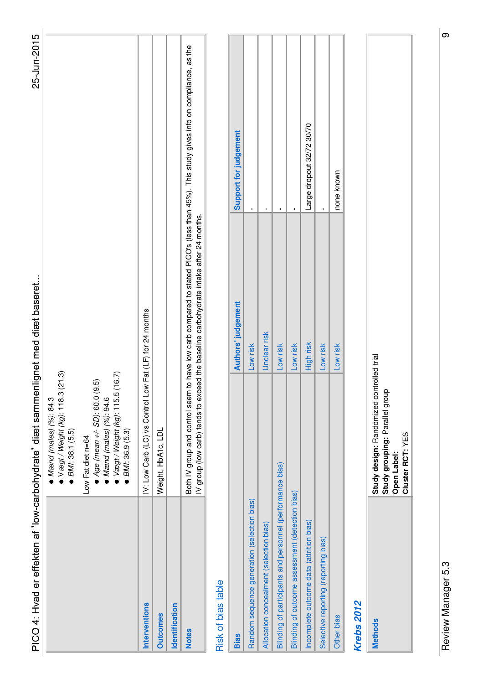| PICO 4: Hvad er effekten af 'low-carbohydrate' diæt sammenlignet med diæt baseret |                                                                                                                                            |                                                                                       | 25-Jun-2015                                                                                                                            |  |
|-----------------------------------------------------------------------------------|--------------------------------------------------------------------------------------------------------------------------------------------|---------------------------------------------------------------------------------------|----------------------------------------------------------------------------------------------------------------------------------------|--|
|                                                                                   | ● Vægt / Weight (kg): 118.3 (21.3)<br>$M$ ænd (males) (%): 84.3<br>BMI: 38.1 (5.5)                                                         |                                                                                       |                                                                                                                                        |  |
|                                                                                   | Vægt / Weight (kg): 115.5 (16.7)<br>(9.5)<br>$Age$ (mean $+/-$ SD): 60.0<br>Mand (males) (%): 94.6<br>BMI: 36.9 (5.3)<br>Low Fat diet n=64 |                                                                                       |                                                                                                                                        |  |
| <b>Interventions</b>                                                              | IV: Low Carb (LC) vs Control Low Fat (LF) for 24 months                                                                                    |                                                                                       |                                                                                                                                        |  |
| <b>Outcomes</b>                                                                   | Weight, HbA1c, LDL                                                                                                                         |                                                                                       |                                                                                                                                        |  |
| Identification                                                                    |                                                                                                                                            |                                                                                       |                                                                                                                                        |  |
| <b>Notes</b>                                                                      |                                                                                                                                            | IV group (low carb) tends to exceed the baseline carbohydrate intake after 24 months. | Both IV group and control seem to have low carb compared to stated PICO's (less than 45%). This study gives info on compliance, as the |  |
| Risk of bias table                                                                |                                                                                                                                            |                                                                                       |                                                                                                                                        |  |
| <b>Bias</b>                                                                       |                                                                                                                                            | <b>Authors' judgement</b>                                                             | Support for judgement                                                                                                                  |  |
| Random sequence generation (selection bias)                                       |                                                                                                                                            | Low risk                                                                              |                                                                                                                                        |  |
| Allocation concealment (selection bias)                                           |                                                                                                                                            | Unclear risk                                                                          | $\mathbf I$                                                                                                                            |  |
| Blinding of participants and personnel (performance bias)                         |                                                                                                                                            | Low risk                                                                              | f,                                                                                                                                     |  |
| Blinding of outcome assessment (detection bias)                                   |                                                                                                                                            | Low risk                                                                              | $\mathbf I$                                                                                                                            |  |
| Incomplete outcome data (attrition bias)                                          |                                                                                                                                            | High risk                                                                             | Large dropout 32/72 30/70                                                                                                              |  |
| Selective reporting (reporting bias)                                              |                                                                                                                                            | Low risk                                                                              |                                                                                                                                        |  |
| Other bias                                                                        |                                                                                                                                            | Low risk                                                                              | none known                                                                                                                             |  |
| <b>Krebs 2012</b>                                                                 |                                                                                                                                            |                                                                                       |                                                                                                                                        |  |
| <b>Methods</b>                                                                    | <b>Study design:</b> Randomized controlled trial                                                                                           |                                                                                       |                                                                                                                                        |  |

| Study design: Randomized controlled trial | Study grouping: Parallel group | Open Label: | Cluster RCT: YES |
|-------------------------------------------|--------------------------------|-------------|------------------|
|                                           |                                |             |                  |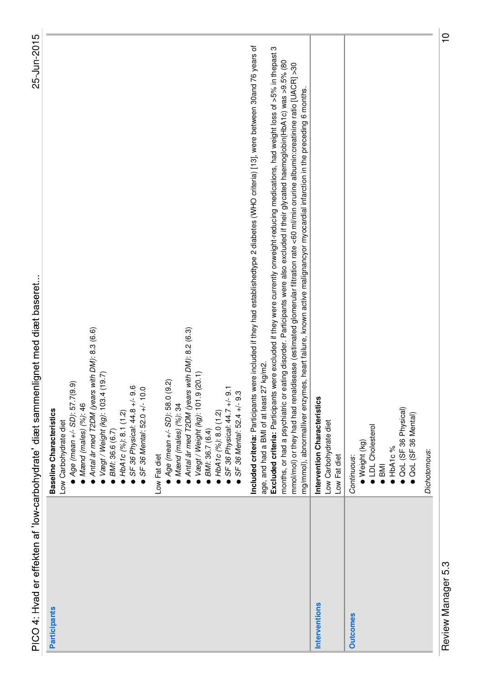| PICO 4: Hvad er effekten af 'low-carboh | ydrate' diæt sammenlignet med diæt baseret |
|-----------------------------------------|--------------------------------------------|
|                                         | aline Characteristics<br>ase               |
|                                         | Carbohy drate diet                         |
|                                         | どうに レー・・・・・・・・・ てん                         |

| PICO 4: Hvad er effekten af 'low-carbohydrate' diæt samme | 25-Jun-2015<br>nlignet med diæt baseret.                                                                                                                                                                                                                                                                                                                                                                                                                                                                                                                                                                                                                                                                                                       |  |
|-----------------------------------------------------------|------------------------------------------------------------------------------------------------------------------------------------------------------------------------------------------------------------------------------------------------------------------------------------------------------------------------------------------------------------------------------------------------------------------------------------------------------------------------------------------------------------------------------------------------------------------------------------------------------------------------------------------------------------------------------------------------------------------------------------------------|--|
| <b>Participants</b>                                       | Antal år med T2DM (years with DM): 8.3 (6.6)<br>(19.7)<br>$\rho$ Age (mean +/- SD): 57.7(9.9)<br>SF 36 Physical: 44.8 +/- 9.6<br>SF 36 Mental: 52.0 +/- 10.0<br>Vægt / Weight (kg): 103.4<br>$M$ and (males) (%): 46<br><b>Baseline Characteristics</b><br>HbA1c (%): 8.1 (1.2)<br>Low Carbohydrate diet<br>BM: 36.6 (6.7)                                                                                                                                                                                                                                                                                                                                                                                                                     |  |
|                                                           | Antal år med T2DM (years with DM): 8.2 (6.3)<br>(20.1)<br>$Age(mean + / - SD)$ : 58.0 (9.2)<br>SF 36 Physical: 44.7 +/- 9.1<br>Vægt / Weight (kg): 101.9<br>SF 36 Mental: 52.4 +/- 9.3<br>$M$ ænd (males) (%): 34<br>HbA1c (%): 8.0 (1.2)<br>BMI: 36.7 (6.4)<br>Low Fat diet                                                                                                                                                                                                                                                                                                                                                                                                                                                                   |  |
|                                                           | Included criteria: Participants were included if they had establishedtype 2 diabetes (WHO criteria) [13], were between 30and 76 years of<br>Excluded criteria: Participants were excluded if they were currently onweight-reducing medications, had weight loss of >5% in thepast 3<br>eating disorder. Participants were also excluded if their glycated haemoglobin(HbA1c) was >9.5% (80<br>mmol/mol) or they had had renaldisease (estimated glomerular filtration rate <60 ml/min orurine albumin:creatinine ratio [UACR] >30<br>mg/mmol), abnormalliver enzymes, heart failure, known active malignancyor myocardial infarction in the preceding 6 months.<br>age, and had a BMI of at least 27 kg/m2.<br>months, or had a psychiatric or |  |
| Interventions                                             | Intervention Characteristics<br>Low Carbohydrate diet<br>Low Fat diet                                                                                                                                                                                                                                                                                                                                                                                                                                                                                                                                                                                                                                                                          |  |
| <b>Outcomes</b>                                           | OoL (SF 36 Physical)<br>QoL (SF 36 Mental)<br>LDL Cholesterol<br>$\bullet$ Weight (kg)<br>$\bullet$ HbA1c%<br>Continuous:<br>$\overline{\phantom{a}}$                                                                                                                                                                                                                                                                                                                                                                                                                                                                                                                                                                                          |  |
|                                                           | Dichotomous:                                                                                                                                                                                                                                                                                                                                                                                                                                                                                                                                                                                                                                                                                                                                   |  |

Review Manager 5.3 10 Review Manager 5.3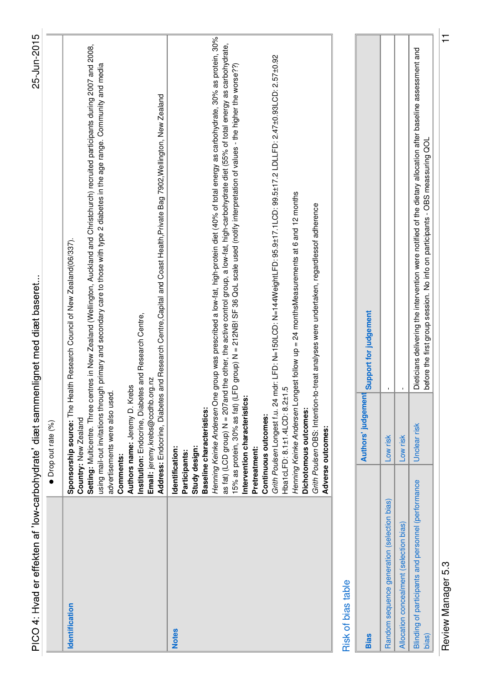| PICO 4: Hvad er effekten af 'low-carbohydrate' diæt sammenlignet med diæt baseret      |                                                                                                                                                                                                                                                                        | 25-Jun-2015                                                                                                                                                                                                                                                                                                                                                                                                                                                                                                                                                                                                                                                                                                     |  |
|----------------------------------------------------------------------------------------|------------------------------------------------------------------------------------------------------------------------------------------------------------------------------------------------------------------------------------------------------------------------|-----------------------------------------------------------------------------------------------------------------------------------------------------------------------------------------------------------------------------------------------------------------------------------------------------------------------------------------------------------------------------------------------------------------------------------------------------------------------------------------------------------------------------------------------------------------------------------------------------------------------------------------------------------------------------------------------------------------|--|
|                                                                                        | Drop out rate (%)                                                                                                                                                                                                                                                      |                                                                                                                                                                                                                                                                                                                                                                                                                                                                                                                                                                                                                                                                                                                 |  |
| Identification                                                                         | Institution: Endocrine, Diabetes and Research Centre,<br>Email: jeremy.krebs@ccdhb.org.nz<br>Authors name: Jeremy D. Krebs<br>advertisements were also used.<br>Country: New Zealand<br>Comments:                                                                      | Setting: Multicentre. Three centres in New Zealand (Wellington, Auckland and Christchurch) recruited participants during 2007 and 2008,<br>using mail-out invitations through primary and secondary care to those with type 2 diabetes in the age range. Community and media<br>Address: Endocrine, Diabetes and Research Centre, Capital and Coast Health, Private Bag 7902, Wellington, New Zealand<br>Sponsorship source: The Health Research Council of New Zealand (06/337).                                                                                                                                                                                                                               |  |
| <b>Notes</b>                                                                           | Hba1cLFD: 8.1±1.4LCD: 8.2±1.5<br>Henning Keinke Andersen One<br>Intervention characteristics:<br>Baseline characteristics:<br>Dichotomous outcomes:<br>Continuous outcomes:<br>Adverse outcomes:<br>Study design:<br>Identification:<br>Pretreatment:<br>Participants: | group was prescribed a low-fat, high-protein diet (40% of total energy as carbohydrate, 30% as protein, 30%<br>as fat) (LCD group) N = 207and the other, the active control group, a low-fat, high-carbohydrate diet (55% of total energy as carbohydrate,<br>Grith Poulsen Longest f.u. 24 mdr: LFD: N=150LCD: N=144WeightLFD: 95.9±17.1LCD: 99.5±17.2 LDLLFD: 2.47±0.93LCD: 2.57±0.92<br>15% as protein, 30% as fat) (LFD group) N = 212NB! SF 36 QoL scale used (notify interpretation of values - the higher the worse??)<br>Henning Keinke Andersen Longest follow up = 24 monthsMeasurements at 6 and 12 months<br>Grith Poulsen OBS: Intention-to-treat analyses were undertaken, regardlessof adherence |  |
| <b>Risk of bias table</b>                                                              |                                                                                                                                                                                                                                                                        |                                                                                                                                                                                                                                                                                                                                                                                                                                                                                                                                                                                                                                                                                                                 |  |
| <b>Bias</b>                                                                            | Authors' judgement                                                                                                                                                                                                                                                     | Support for judgement                                                                                                                                                                                                                                                                                                                                                                                                                                                                                                                                                                                                                                                                                           |  |
| Random sequence generation (selection bias)<br>Allocation concealment (selection bias) | Low risk<br>Low risk                                                                                                                                                                                                                                                   |                                                                                                                                                                                                                                                                                                                                                                                                                                                                                                                                                                                                                                                                                                                 |  |
| Blinding of participants and personnel (performance<br>bias)                           | Unclear risk                                                                                                                                                                                                                                                           | Dieticians delivering the intervention were notified of the dietary allocation after baseline assessment and<br>before the first group session. No info on participants - OBS meassuring QOL                                                                                                                                                                                                                                                                                                                                                                                                                                                                                                                    |  |

Review Manager 5.3 11 Review Manager 5.3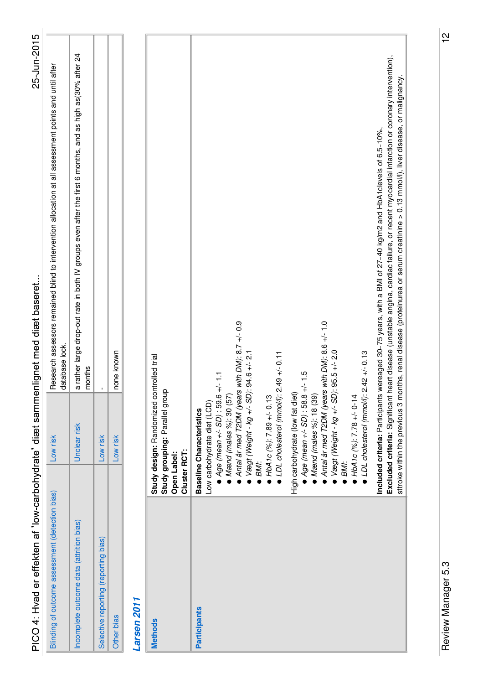| Blinding of outcome assessment (detection bias) | Low risk                                                                                                                                                                                                                                                                                                                                                                                                                                                                                                                                                                                  | Research assessors remained blind to intervention allocation at all assessment points and until after<br>database lock.                                                                                                                                                                                                                                                                         |
|-------------------------------------------------|-------------------------------------------------------------------------------------------------------------------------------------------------------------------------------------------------------------------------------------------------------------------------------------------------------------------------------------------------------------------------------------------------------------------------------------------------------------------------------------------------------------------------------------------------------------------------------------------|-------------------------------------------------------------------------------------------------------------------------------------------------------------------------------------------------------------------------------------------------------------------------------------------------------------------------------------------------------------------------------------------------|
| Incomplete outcome data (attrition bias)        | Unclear risk                                                                                                                                                                                                                                                                                                                                                                                                                                                                                                                                                                              | a rather large drop-out rate in both IV groups even after the first 6 months, and as high as(30% after 24<br>months                                                                                                                                                                                                                                                                             |
| Selective reporting (reporting bias)            | Low risk                                                                                                                                                                                                                                                                                                                                                                                                                                                                                                                                                                                  |                                                                                                                                                                                                                                                                                                                                                                                                 |
| Other bias                                      | Low risk                                                                                                                                                                                                                                                                                                                                                                                                                                                                                                                                                                                  | none known                                                                                                                                                                                                                                                                                                                                                                                      |
| Larsen 2011                                     |                                                                                                                                                                                                                                                                                                                                                                                                                                                                                                                                                                                           |                                                                                                                                                                                                                                                                                                                                                                                                 |
| <b>Open Label:</b><br><b>Methods</b>            | Study design: Randomized controlled trial<br>Study grouping: Parallel group<br>Cluster RCT:                                                                                                                                                                                                                                                                                                                                                                                                                                                                                               |                                                                                                                                                                                                                                                                                                                                                                                                 |
| <b>Participants</b>                             | Antal år med T2DM (years with DM): 8.7 +/- 0.9<br>Antal år med T2DM (years with DM): 8.6 +/- 1.0<br>$\bullet$ Vægt (Weight - kg +/- SD): 95.5 +/- 2.0<br>$\bullet$ Vægt (Weight - kg +/- SD): 94.6 +/- 2.1<br>• LDL cholesterol (mmol/l): $2.42 +/- 0.13$<br>$\bullet$ LDL cholesterol (mmol/l): 2.49 +/- 0.11<br>High carbohydrate (low fat diet)<br>● <i>Age (mean +/- SD)</i> : 58.8 +/- 1.5<br>● <i>Mænd (males %)</i> : 18 (39)<br>$HDA1C(%): 7.89 + - 0.13$<br>$\bullet$ HbA1c (%): 7.78 +/- 0-14<br>Low carbohydrate diet (LCD)<br><b>Baseline Characteristics</b><br>BMI:<br>BMI: | Excluded criteria: Significant heart disease (unstable angina, cardiac failure, or recent myocardial infarction or coronary intervention),<br>stroke within the previous 3 months, renal disease (proteinurea or serum creatinine > 0.13 mmol/l), liver disease, or malignancy.<br>Included criteria: Participants wereaged 30-75 years, with a BMI of 27-40 kg/m2 and HbA1 clevels of 6.5-10%, |

25-Jun-2015

PICO 4: Hvad er effekten af 'low-carbohydrate' diæt sammenlignet med diæt baseret...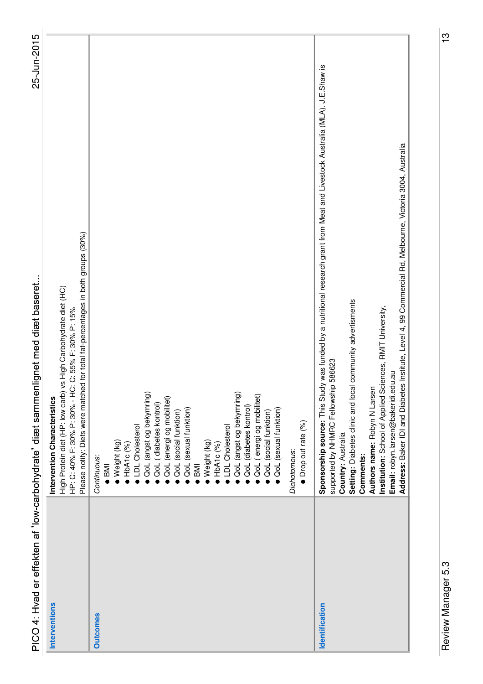| PICO 4: Hvad er effekten af 'low-carbohydrate' diæt sammenlignet med diæt baseret. |                                                                                                                                                                                                                                                                                                                                                                                                                                                                                                                          | 25-Jun-2015 |
|------------------------------------------------------------------------------------|--------------------------------------------------------------------------------------------------------------------------------------------------------------------------------------------------------------------------------------------------------------------------------------------------------------------------------------------------------------------------------------------------------------------------------------------------------------------------------------------------------------------------|-------------|
| Interventions                                                                      | Please notify: Diets were matched for total fat-percentages in both groups (30%)<br>High Protein diet (HP: low carb) vs High Carbohydrate diet (HC)<br>HP: C: 40% F: 30% P: 30% - HC: C: 55% F: 30% P: 15%<br>Intervention Characteristics                                                                                                                                                                                                                                                                               |             |
| <b>Outcomes</b>                                                                    | QoL (angst og bekymring)<br>QoL (angst og bekymring)<br>QoL (energi og mobilitet)<br>QoL (energi og mobilitet)<br>QoL (diabetes kontrol)<br>QoL (diabetes kontrol)<br>QoL (sexual funktion)<br><b>QoL</b> (sexual funktion)<br>QoL (social funktion)<br>QoL (social funktion)<br>Drop out rate (%)<br>LDL Cholesterol<br>LDL Cholesterol<br>Weight (kg)<br>Weight (kg)<br>HbA1c (%)<br>HDA1C(%)<br>Dichotomous:<br>Continuous:<br><b>IMB</b><br>IMB                                                                      |             |
| Identification                                                                     | Sponsorship source: This Study was funded by a nutritional research grant from Meat and Livestock Australia (MLA). J.E.Shaw is<br>Address: Baker IDI and Diabetes Institute, Level 4, 99 Commercial Rd, Melbourne, Victoria 3004, Australia<br>Setting: Diabetes clinic and local community advertisments<br>Institution: School of Applied Sciences, RMIT University,<br>supported by NHMRC Fellowship 586623<br>Email: robyn.larsen@bakeridi.edu.au<br>Authors name: Robyn N Larsen<br>Country: Australia<br>Comments: |             |

 $\frac{13}{2}$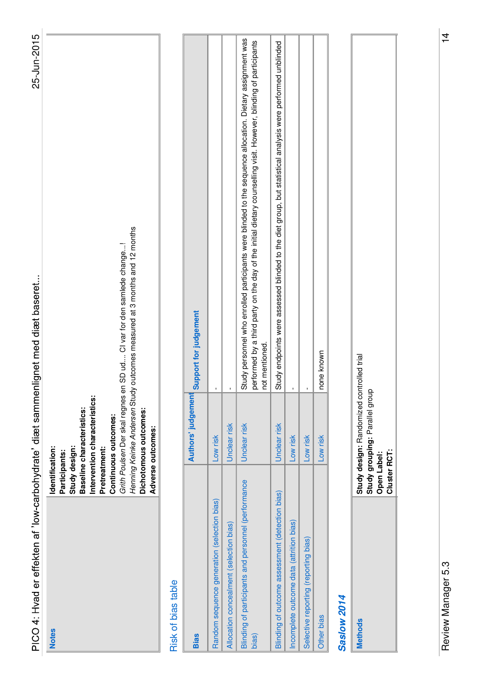| PICO 4: Hvad er effekten af 'low-carbohydrate' diæt samme    |                                                                                                                                                                                                        | 25-Jun-2015<br>nlignet med diæt baseret                                                                                                                                                                                                          |  |
|--------------------------------------------------------------|--------------------------------------------------------------------------------------------------------------------------------------------------------------------------------------------------------|--------------------------------------------------------------------------------------------------------------------------------------------------------------------------------------------------------------------------------------------------|--|
| <b>Notes</b>                                                 | Intervention characteristics:<br>Baseline characteristics:<br>Dichotomous outcomes:<br>Continuous outcomes:<br>Adverse outcomes:<br>Identification:<br>Study design:<br>Pretreatment:<br>Participants: | Henning Keinke Andersen Study outcomes measured at 3 months and 12 months<br>Grith Poulsen Der skal regnes en SD ud Cl var for den samlede change!                                                                                               |  |
| Risk of bias table                                           |                                                                                                                                                                                                        |                                                                                                                                                                                                                                                  |  |
| <b>Bias</b>                                                  | Authors' judgement                                                                                                                                                                                     | Support for judgement                                                                                                                                                                                                                            |  |
| Random sequence generation (selection bias)                  | Low risk                                                                                                                                                                                               |                                                                                                                                                                                                                                                  |  |
| Allocation concealment (selection bias)                      | Unclear risk                                                                                                                                                                                           |                                                                                                                                                                                                                                                  |  |
| Blinding of participants and personnel (performance<br>bias) | Unclear risk                                                                                                                                                                                           | Study personnel who enrolled participants were blinded to the sequence allocation. Dietary assignment was<br>performed by a third party on the day of the initial dietary counselling visit. However, blinding of participants<br>not mentioned. |  |
| Blinding of outcome assessment (detection bias)              | Unclear risk                                                                                                                                                                                           | Study endpoints were assessed blinded to the diet group, but statistical analysis were performed unblinded                                                                                                                                       |  |
| Incomplete outcome data (attrition bias)                     | Low risk                                                                                                                                                                                               |                                                                                                                                                                                                                                                  |  |
| Selective reporting (reporting bias)                         | Low risk                                                                                                                                                                                               |                                                                                                                                                                                                                                                  |  |
| Other bias                                                   | Low risk                                                                                                                                                                                               | none known                                                                                                                                                                                                                                       |  |
| <b>Saslow 2014</b>                                           |                                                                                                                                                                                                        |                                                                                                                                                                                                                                                  |  |
| <b>Methods</b>                                               | Study design: Randomized controlled trial<br>Study arounina: Perellel arour                                                                                                                            |                                                                                                                                                                                                                                                  |  |

|  | andomized controlled trial<br>.: Parallel group |  |  |
|--|-------------------------------------------------|--|--|
|  | <b>about</b>                                    |  |  |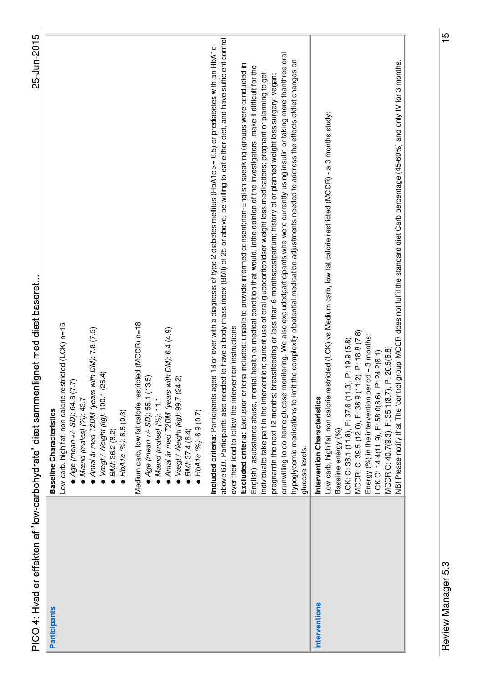| PICO 4: Hvad er effekten af 'low-carbohydrate' diæt samme | 25-Jun-2015<br>nlignet med diæt baseret                                                                                                                                                                                                                                                                                                                                                                                                                                                                                                                                                                                                                                                                                                                                                                                                                                                                                                                                                                                                                                                                                                                                                                                       |
|-----------------------------------------------------------|-------------------------------------------------------------------------------------------------------------------------------------------------------------------------------------------------------------------------------------------------------------------------------------------------------------------------------------------------------------------------------------------------------------------------------------------------------------------------------------------------------------------------------------------------------------------------------------------------------------------------------------------------------------------------------------------------------------------------------------------------------------------------------------------------------------------------------------------------------------------------------------------------------------------------------------------------------------------------------------------------------------------------------------------------------------------------------------------------------------------------------------------------------------------------------------------------------------------------------|
| <b>Participants</b>                                       | Low carb, high fat, non calorie restricted (LCK) n=16<br>Antal år med T2DM (years with DM): 7.8 (7.5)<br>(26.4)<br>$Age$ (mean $+/-$ SD): 64.8 (7.7)<br>$\bullet$ Vægt / Weight (kg): 100.1<br>Mænd (males) (%): 43.7<br><b>Baseline Characteristics</b><br>HbA1c(%): 6.6(0.3)<br>BMI: 36.2 (8.2)                                                                                                                                                                                                                                                                                                                                                                                                                                                                                                                                                                                                                                                                                                                                                                                                                                                                                                                             |
|                                                           | Medium carb, low fat calorie restricted (MCCR) n=18<br>Antal år med T2DM (years with DM): 6.4 (4.9)<br>(3.5)<br>$\blacktriangleright$ Vægt / Weight (kg): 99.7 (24.2)<br>$4ge$ (mean $+/-$ SD): 55.1 (1<br>$M$ and (males) $(%): 11.1$<br>HbA1c (%): 6.9 (0.7)<br>BMI: 37.4 (6.4)                                                                                                                                                                                                                                                                                                                                                                                                                                                                                                                                                                                                                                                                                                                                                                                                                                                                                                                                             |
|                                                           | above 6.0. Participants also needed to have a body mass index (BMI) of 25 or above, be willing to eat either diet, and have sufficient control<br>Included criteria: Participants aged 18 or over with a diagnosis of type 2 diabetes mellitus (HbA1c >= 6.5) or prediabetes with an HbA1c<br>monitoring. We also excludedparticipants who were currently using insulin or taking more thanthree oral<br>hypoglycemic medications to limit the complexity ofpotential medication adjustments needed to address the effects ofdiet changes on<br>Excluded criteria: Exclusion criteria included: unable to provide informed consent;non-English speaking (groups were conducted in<br>English); asubstance abuse, mental health or medical condition that would, inthe opinion of the investigators, make it difficult for the<br>individualto take part in the intervention; current use of oral glucocorticoidsor weight loss medications; pregnant or planning to get<br>breastfeeding or less than 6 monthspostpartum; history of or planned weight loss surgery; vegan;<br>over their food to follow the intervention instructions<br>orunwilling to do home glucose<br>pregnantin the next 12 months;<br>glucose levels. |
| Interventions                                             | NB! Please notify that The 'control group' MCCR does not fulfil the standard diet Carb percentage (45-60%) and only IV for 3 months.<br>Low carb, high fat, non calorie restricted (LCK) vs Medium carb, low fat calorie restricted (MCCR) - a 3 months study:<br>MCCR: C: 39.5 (12.0), F: 38.9 (11.2), P: 18.8 (7.8)<br>Energy (%) in the intervention period - 3 months:<br>LCK: C: 38.1 (11.8), F: 37.6 (11.3), P: 19.9 (5.8)<br>MCCR C: 40.7(9.3), F: 35.1(8.7), P: 20.5(6.8)<br>LCK C: 14.4(11.9), F: 58.0(8.6), P: 24.2(6.1)<br>Intervention Characteristics<br>Baseline energy (%)                                                                                                                                                                                                                                                                                                                                                                                                                                                                                                                                                                                                                                     |
|                                                           |                                                                                                                                                                                                                                                                                                                                                                                                                                                                                                                                                                                                                                                                                                                                                                                                                                                                                                                                                                                                                                                                                                                                                                                                                               |

 $\frac{15}{1}$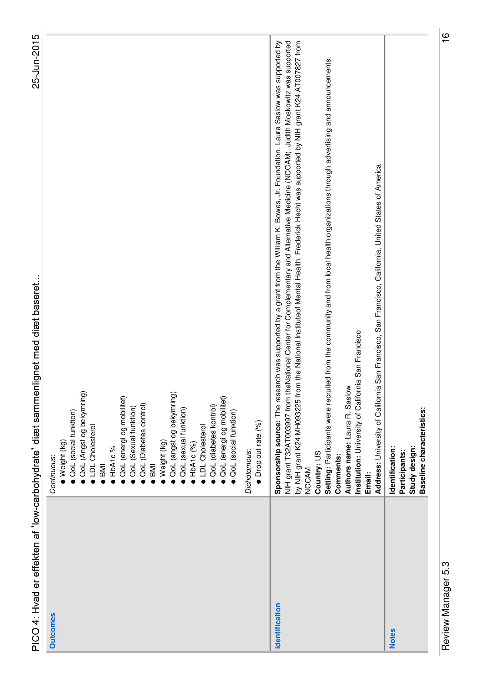| くくらきこく<br>מת הבני הבני הבני האין, האין, האין, האין, האין, האין, האין, האין, האין, האין, האין, האין, האין, האין, האין, הא<br>)<br>1)<br>2)<br>)<br>)<br>;<br>י האַבוס באַבער באַ די איז איז איז איז איז די גע<br>)<br>5<br>5<br>5<br>5<br>5<br>5<br>ジニー・ソン<br>ゴーマ<br>CCC<br>C<br>$\frac{1}{2}$ |  |
|-----------------------------------------------------------------------------------------------------------------------------------------------------------------------------------------------------------------------------------------------------------------------------------------------|--|
|                                                                                                                                                                                                                                                                                               |  |
|                                                                                                                                                                                                                                                                                               |  |
|                                                                                                                                                                                                                                                                                               |  |
|                                                                                                                                                                                                                                                                                               |  |
|                                                                                                                                                                                                                                                                                               |  |
|                                                                                                                                                                                                                                                                                               |  |
|                                                                                                                                                                                                                                                                                               |  |
|                                                                                                                                                                                                                                                                                               |  |
|                                                                                                                                                                                                                                                                                               |  |
|                                                                                                                                                                                                                                                                                               |  |
|                                                                                                                                                                                                                                                                                               |  |
|                                                                                                                                                                                                                                                                                               |  |
|                                                                                                                                                                                                                                                                                               |  |
|                                                                                                                                                                                                                                                                                               |  |
|                                                                                                                                                                                                                                                                                               |  |

**Outcomes** 

|                 | PICO 4: Hvad er effekten af 'low-carbohydrate' diæt sammenlignet med diæt baseret                                                                       | 25-Jun-2015 |
|-----------------|---------------------------------------------------------------------------------------------------------------------------------------------------------|-------------|
| <b>Outcomes</b> | OoL (Angst og bekymring)<br>OoL (social funktion)<br>• LDL Cholesterol<br>• Weight (kg)<br>Continuous:                                                  |             |
|                 | ● QoL (energi og mobilitet)<br>OoL (Sexual funktion)<br>$\bullet$ HbA1c%<br>$\bullet$ BMI                                                               |             |
|                 | OoL (angst og bekymring)<br><b>QoL</b> (Diabetes control)<br>· Weight (kg)<br>$\overline{BM}$                                                           |             |
|                 | ● QoL (energi og mobilitet<br>OoL (diabetes kontrol)<br>OoL (sexual funktion)<br>OcL (social funktion)<br><b>LDL</b> Cholesterol<br>$\bullet$ HbA1c (%) |             |

|               | • Drop out rate (%)<br>Dichotomous:                                                                                                                                                                                                                                                                                                                                                                                                                                                                                                                                                                                                                                                            |
|---------------|------------------------------------------------------------------------------------------------------------------------------------------------------------------------------------------------------------------------------------------------------------------------------------------------------------------------------------------------------------------------------------------------------------------------------------------------------------------------------------------------------------------------------------------------------------------------------------------------------------------------------------------------------------------------------------------------|
| dentification | esearch was supported by a grant from the William K. Bowes, Jr. Foundation. Laura Saslow was supported by<br>NIH grant T32AT003997 from theNational Center for Complementary and Alternative Medicine (NCCAM). Judith Moskowitz was supported<br>by NIH grant K24 MH093225 from the National Instituteof Mental Health. Frederick Hecht was supported by NIH grant K24 AT007827 from<br>Setting: Participants were recruited from the community and from local health organizations through advertising and announcements.<br>Institution: University of California San Francisco<br>Authors name: Laura R. Saslow<br>Sponsorship source: The i<br>Country: US<br>Comments:<br>NCCAM<br>Email: |
|               | Address: University of California San Francisco, San Francisco, California, United States of America                                                                                                                                                                                                                                                                                                                                                                                                                                                                                                                                                                                           |
| lotes         | Baseline characteristics:<br>Study design:<br>Identification:<br>Participants:                                                                                                                                                                                                                                                                                                                                                                                                                                                                                                                                                                                                                 |

Review Manager 5.3 16 Review Manager 5.3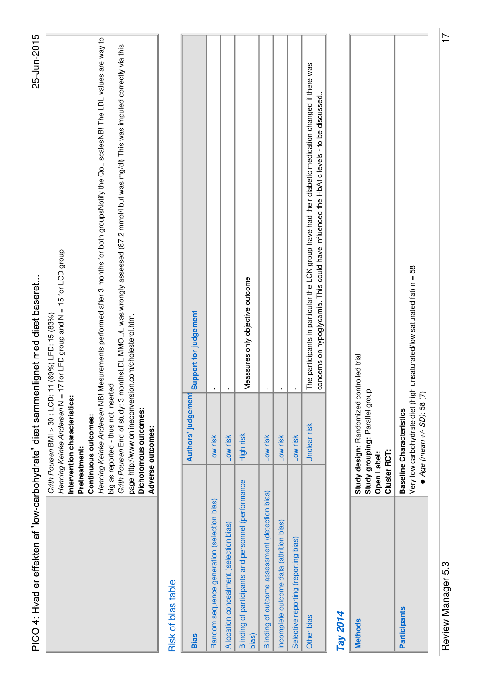| PICO 4: Hvad er effekten af 'low-carbohydrate' diæt sammenlignet med diæt baseret |                                                                                                                                                                                                                                                                                     | 25-Jun-2015                                                                                                                                                                                                                                                                                                                                      |  |
|-----------------------------------------------------------------------------------|-------------------------------------------------------------------------------------------------------------------------------------------------------------------------------------------------------------------------------------------------------------------------------------|--------------------------------------------------------------------------------------------------------------------------------------------------------------------------------------------------------------------------------------------------------------------------------------------------------------------------------------------------|--|
|                                                                                   | page http://www.onlineconversion.com/cholesterol.htm.<br>big as reported - thus not inserted<br>Grith Poulsen BMI > 30: LCD:<br>Henning Keinke Andersen N =<br>Intervention characteristics:<br>Dichotomous outcomes:<br>Continuous outcomes:<br>Adverse outcomes:<br>Pretreatment: | Henning Keinke Andersen NB! Mesurements performed after 3 months for both groupsNotify the QoL scalesNB! The LDL values are way to<br>Grith Poulsen End of study: 3 monthsLDL MMOL/L was wrongly assessed (87.2 mmol/l but was mg/dl) This was imputed correctly via this<br>11 (69%) LFD: 15 (83%)<br>17 for LFD group and N = 15 for LCD group |  |
| Risk of bias table                                                                |                                                                                                                                                                                                                                                                                     |                                                                                                                                                                                                                                                                                                                                                  |  |
| <b>Bias</b>                                                                       | Authors' judgement                                                                                                                                                                                                                                                                  | Support for judgement                                                                                                                                                                                                                                                                                                                            |  |
| Random sequence generation (selection bias)                                       | Low risk                                                                                                                                                                                                                                                                            |                                                                                                                                                                                                                                                                                                                                                  |  |
| Allocation concealment (selection bias)                                           | Low risk                                                                                                                                                                                                                                                                            |                                                                                                                                                                                                                                                                                                                                                  |  |
| Blinding of participants and personnel (performance<br>bias)                      | High risk                                                                                                                                                                                                                                                                           | Meassures only objective outcome                                                                                                                                                                                                                                                                                                                 |  |
| Blinding of outcome assessment (detection bias)                                   | Low risk                                                                                                                                                                                                                                                                            |                                                                                                                                                                                                                                                                                                                                                  |  |
| Incomplete outcome data (attrition bias)                                          | Low risk                                                                                                                                                                                                                                                                            |                                                                                                                                                                                                                                                                                                                                                  |  |
| Selective reporting (reporting bias)                                              | Low risk                                                                                                                                                                                                                                                                            |                                                                                                                                                                                                                                                                                                                                                  |  |
| <b>Other bias</b>                                                                 | Unclear risk                                                                                                                                                                                                                                                                        | The participants in particular the LCK group have had their diabetic medication changed if there was<br>concerns on hypoglycamia. This could have influenced the HbA1c levels - to be discussed                                                                                                                                                  |  |
| Tay 2014                                                                          |                                                                                                                                                                                                                                                                                     |                                                                                                                                                                                                                                                                                                                                                  |  |
| <b>Methods</b>                                                                    | Study design: Randomized controlled trial<br>Study grouping: Parallel group<br>Cluster RCT:<br>Open Label:                                                                                                                                                                          |                                                                                                                                                                                                                                                                                                                                                  |  |
| <b>Participants</b>                                                               | $Age$ (mean $+/-$ SD): 58 (7)<br><b>Baseline Characteristics</b>                                                                                                                                                                                                                    | Very low carbohydrate diet (high unsaturated/low saturated fat) n = 58                                                                                                                                                                                                                                                                           |  |

Review Manager 5.3 17 Review Manager 5.3

 $\overline{17}$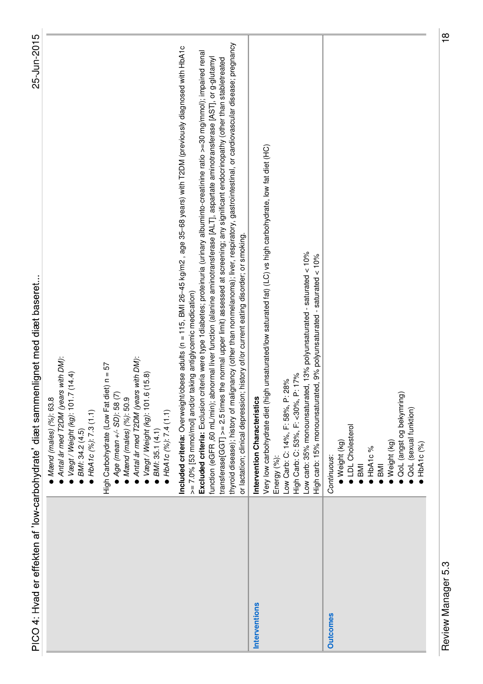|                 | 25-Jun-2015<br>PICO 4: Hvad er effekten af 'low-carbohydrate' diæt sammenlignet med diæt baseret                                                                                                                                                                                                                                                                                                                                                                                                                                                                                                                                                                                                                                                                                                                                                                         |  |
|-----------------|--------------------------------------------------------------------------------------------------------------------------------------------------------------------------------------------------------------------------------------------------------------------------------------------------------------------------------------------------------------------------------------------------------------------------------------------------------------------------------------------------------------------------------------------------------------------------------------------------------------------------------------------------------------------------------------------------------------------------------------------------------------------------------------------------------------------------------------------------------------------------|--|
|                 | Antal år med T2DM (years with DM):<br>(14.4)<br>$\blacktriangleright$ Vægt / Weight (kg): 101.7<br>$Mend$ (males) $(%$ ): 63.8<br>• HbA1c $(%): 7.3(1.1)$<br>BMI: 34.2 (4.5)                                                                                                                                                                                                                                                                                                                                                                                                                                                                                                                                                                                                                                                                                             |  |
|                 | with DM):<br>High Carbohydrate (Low Fat diet) n = 57<br>$\bullet$ Vægt / Weight (kg): 101.6 (15.8)<br>$Age(mean + -SD):$ 58 (7)<br>Antal år med T2DM (years<br>$M$ ænd (males) (%): 50.9<br>• HbA1c (%): 7.4 (1.1)<br>BMI: 35.1 (4.1)                                                                                                                                                                                                                                                                                                                                                                                                                                                                                                                                                                                                                                    |  |
|                 | thyroid disease); history of malignancy (other than nonmelanoma); liver, respiratory, gastrointestinal, or cardiovascular disease; pregnancy<br>Included criteria: Overweight/obese adults (n = 115, BMI 26-45 kg/m2, age 35-68 years) with T2DM (previously diagnosed with HbA1c<br>Excluded criteria: Exclusion criteria were type 1 diabetes; proteinuria (urinary albuminto-creatinine ratio >=30 mg/mmol); impaired renal<br>function (eGFR, 60 mL/min); abnormal liver function (alanine aminotransferase [ALT], aspartate aminotransferase [AST], or g-glutamyl<br>transferase[GGT] >= 2.5 times the normal upper limit) assessed at screening; any significant endocrinopathy (other than stabletreated<br>or lactation; clinical depression; history of/or current eating disorder; or smoking.<br>>= 7.0% [53 mmol/mol] and/or taking antiglycemic medication) |  |
| Interventions   | Very low carbohydrate diet (high unsaturated/low saturated fat) (LC) vs high carbohydrate, low fat diet (HC)<br>Low carb: 35% monounsaturated, 13% polyunsaturated - saturated < 10%<br>High carb: 15% monounsaturated, 9% polyunsaturated - saturated < 10%<br>High Carb: C: 53%, F: <30%, P: 17%<br>Low Carb: C: 14%, F: 58%, P: 28%<br>Intervention Characteristics<br>Energy (%):                                                                                                                                                                                                                                                                                                                                                                                                                                                                                    |  |
| <b>Outcomes</b> | QoL (angst og bekymring)<br>QoL (sexual funktion)<br>LDL Cholesterol<br>· Weight (kg)<br>Weight (kg)<br>HbA1c(%)<br>HbA1c%<br>Continuous:<br>$\overline{BM}$<br><b>IMB</b>                                                                                                                                                                                                                                                                                                                                                                                                                                                                                                                                                                                                                                                                                               |  |

Review Manager 5.3 18 Review Manager 5.3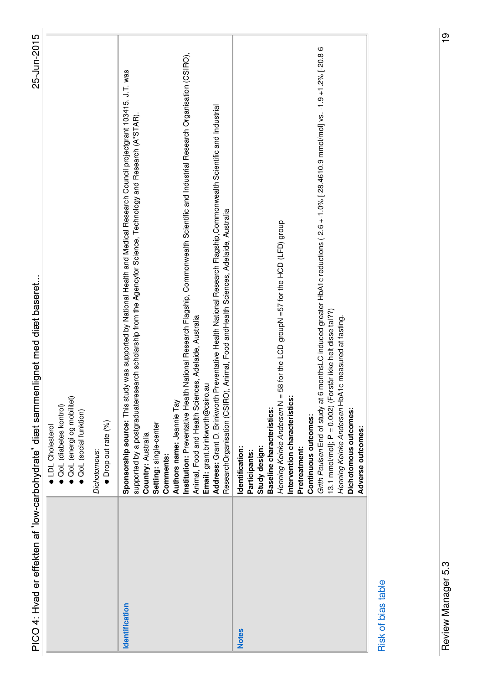|                                | PICO 4: Hvad er effekten af 'low-carbohydrate' diæt sammenlignet med diæt baseret                                                                                                                                                                                                                                                                                                                                                                                                                                                                                                                                                                                                                                                                                                                                                                                                                                                                                                                                                                                                                                                                                                                                                                                                                                                       | 25-Jun-2015 |
|--------------------------------|-----------------------------------------------------------------------------------------------------------------------------------------------------------------------------------------------------------------------------------------------------------------------------------------------------------------------------------------------------------------------------------------------------------------------------------------------------------------------------------------------------------------------------------------------------------------------------------------------------------------------------------------------------------------------------------------------------------------------------------------------------------------------------------------------------------------------------------------------------------------------------------------------------------------------------------------------------------------------------------------------------------------------------------------------------------------------------------------------------------------------------------------------------------------------------------------------------------------------------------------------------------------------------------------------------------------------------------------|-------------|
|                                | OoL (energi og mobilitet)<br><b>QoL</b> (diabetes kontrol)<br>OoL (social funktion)<br><b>LDL</b> Cholesterol                                                                                                                                                                                                                                                                                                                                                                                                                                                                                                                                                                                                                                                                                                                                                                                                                                                                                                                                                                                                                                                                                                                                                                                                                           |             |
|                                | Drop out rate (%)<br>Dichotomous:                                                                                                                                                                                                                                                                                                                                                                                                                                                                                                                                                                                                                                                                                                                                                                                                                                                                                                                                                                                                                                                                                                                                                                                                                                                                                                       |             |
| Identification<br><b>Notes</b> | Grith Poulsen End of study at 6 monthsLC induced greater HbA1c reductions (-2.6 +-1.0% [-28.4610.9 mmol/mol] vs. -1.9 +1.2% [-20.8 6<br>Institution: Preventative Health National Research Flagship, Commonwealth Scientific and Industrial Research Organisation (CSIRO),<br>Sponsorship source: This study was supported by National Health and Medical Research Council projectgrant 103415. J.T. was<br>Address: Grant D. Brinkworth Preventative Health National Research Flagship,Commonwealth Scientific and Industrial<br>supported by a postgraduateresearch scholarship from the Agencyfor Science, Technology and Research (A*STAR).<br>Animal, Food and Health Sciences, Adelaide, Australia<br>58 for the LCD groupN =57 for the HCD (LFD) group<br>står ikke helt disse tal??)<br>Animal, Food and Health Sciences, Adelaide, Australia<br>1c measured at fasting.<br>Email: grant.brinkworth@csiro.au<br>13.1 mmol/molj; $P = 0.002$ ) (For<br>Henning Keinke Andersen HbA<br>ResearchOrganisation (CSIRO)<br>Henning Keinke Andersen N =<br>Intervention characteristics:<br>Authors name: Jeannie Tay<br>Baseline characteristics:<br>Dichotomous outcomes:<br>Continuous outcomes:<br>Setting: single-center<br>Country: Australia<br>Study design:<br>Identification:<br>Pretreatment:<br>Participants:<br>Comments: |             |
| Risk of hias table             | Adverse outcomes:                                                                                                                                                                                                                                                                                                                                                                                                                                                                                                                                                                                                                                                                                                                                                                                                                                                                                                                                                                                                                                                                                                                                                                                                                                                                                                                       |             |

**RISK OF DIAS LADIE** Risk of bias table

 $\frac{1}{6}$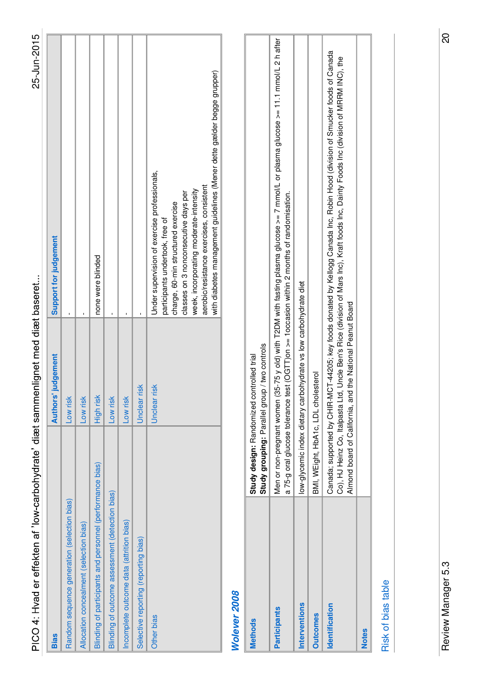| ֚֚֬         |
|-------------|
|             |
|             |
| くまえこく       |
|             |
|             |
|             |
|             |
|             |
|             |
|             |
| :<br>:<br>: |
| י<br>בו     |

| L<br>n |
|--------|
|        |
|        |
|        |
|        |
|        |
|        |
|        |
|        |
|        |
| т      |
|        |

| <b>Bias</b>                                               |                           | <b>Authors' judgement</b>                                                                  | Support for judgement                                                                                                                                                                                                                                                                                                         |
|-----------------------------------------------------------|---------------------------|--------------------------------------------------------------------------------------------|-------------------------------------------------------------------------------------------------------------------------------------------------------------------------------------------------------------------------------------------------------------------------------------------------------------------------------|
| Random sequence generation (selection bias)               |                           | Low risk                                                                                   |                                                                                                                                                                                                                                                                                                                               |
| Allocation concealment (selection bias)                   |                           | Low risk                                                                                   |                                                                                                                                                                                                                                                                                                                               |
| Blinding of participants and personnel (performance bias) |                           | High risk                                                                                  | none were blinded                                                                                                                                                                                                                                                                                                             |
| Blinding of outcome assessment (detection bias)           |                           | Low risk                                                                                   |                                                                                                                                                                                                                                                                                                                               |
| Incomplete outcome data (attrition bias)                  |                           | Low risk                                                                                   |                                                                                                                                                                                                                                                                                                                               |
| Selective reporting (reporting bias)                      |                           | risk<br>Unclear                                                                            |                                                                                                                                                                                                                                                                                                                               |
| <b>Other bias</b>                                         |                           | risk<br>Unclear                                                                            | with diabetes management guidelines (Mener dette gælder begge grupper)<br>Under supervision of exercise professionals,<br>aerobic/resistance exercises, consistent<br>week, incorporating moderate-intensity<br>classes on 3 nonconsecutive days per<br>charge, 60-min structured exercise<br>participants undertook, free of |
| Wolever 2008                                              |                           |                                                                                            |                                                                                                                                                                                                                                                                                                                               |
| <b>Methods</b>                                            |                           | Study grouping: Parallel group / two controls<br>Study design: Randomized controlled trial |                                                                                                                                                                                                                                                                                                                               |
| Participants                                              | Men or non-pregnant women |                                                                                            | (35-75 y old) with T2DM with fasting plasma glucose >= 7 mmol/L or plasma glucose >= 11.1 mmol/L 2 h after                                                                                                                                                                                                                    |

a 75-g oral glucose tolerance test (OGTT)on >= 1occasion within 2 months of randomisation.

a 75-g oral glucose tolerance test (OGTT)on >= 1occasion within 2 months of randomisation.

**Identification** Canada; supported by CHIR-MCT-44205; key foods donated by Kellogg Canada Inc, Robin Hood (division of Smucker foods of Canada

Almond board of California, and the National Peanut Board

Almond board of California, and the National Peanut Board

Co), HJ Heinz Co, Italpasta Ltd, Uncle Ben's Rice (division of Mars Inc), Kraft foods Inc, Dainty Foods Inc (division of MRRM INC), the

Canada; supported by CHIR-MCT-44205; key foods donated by Kellogg Canada Inc, Robin Hood (division of Smucker foods of Canada<br>Co), HJ Heinz Co, Italpasta Ltd, Uncle Ben's Rice (division of Mars Inc), Kraft foods Inc, Daint

**Interventions** low-glycemic index dietary carbohydrate vs low carbohydrate diet

Interventions

Identification

**Outcomes** 

BMI, WEight, HbA1c, LDL cholesterol

low-glycemic index dietary carbohydrate vs low carbohydrate diet

**Outcomes** BMI, WEight, HbA1c, LDL cholesterol

#### Risk of bias table Risk of bias table

**Notes**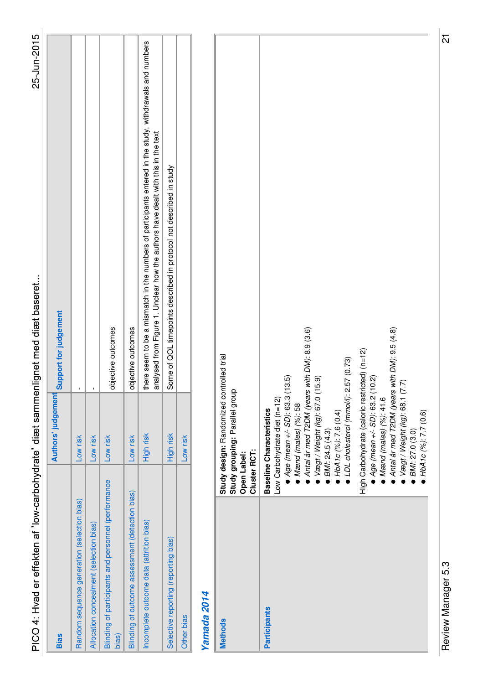| PICO 4: Hyad er effekten af 'low-carbohydrate' diæt samm     |                                                                                                                                                                                                                                                                                                                                                                                                                                                                                                                        | 25-Jun-2015<br>enlignet med diæt baseret                                                                                                                                                     |
|--------------------------------------------------------------|------------------------------------------------------------------------------------------------------------------------------------------------------------------------------------------------------------------------------------------------------------------------------------------------------------------------------------------------------------------------------------------------------------------------------------------------------------------------------------------------------------------------|----------------------------------------------------------------------------------------------------------------------------------------------------------------------------------------------|
| <b>Bias</b>                                                  | Authors' judgemen                                                                                                                                                                                                                                                                                                                                                                                                                                                                                                      | Support for judgement                                                                                                                                                                        |
| Random sequence generation (selection bias)                  | Low risk                                                                                                                                                                                                                                                                                                                                                                                                                                                                                                               |                                                                                                                                                                                              |
| Allocation concealment (selection bias)                      | Low risk                                                                                                                                                                                                                                                                                                                                                                                                                                                                                                               |                                                                                                                                                                                              |
| Blinding of participants and personnel (performance<br>bias) | Low risk                                                                                                                                                                                                                                                                                                                                                                                                                                                                                                               | objective outcomes                                                                                                                                                                           |
| Blinding of outcome assessment (detection bias)              | Low risk                                                                                                                                                                                                                                                                                                                                                                                                                                                                                                               | objective outcomes                                                                                                                                                                           |
| Incomplete outcome data (attrition bias)                     | High risk                                                                                                                                                                                                                                                                                                                                                                                                                                                                                                              | there seem to be a mismatch in the numbers of participants entered in the study, withdrawals and numbers<br>analysed from Figure 1. Unclear how the authors have dealt with this in the text |
| Selective reporting (reporting bias)                         | High risk                                                                                                                                                                                                                                                                                                                                                                                                                                                                                                              | Some of QOL timepoints described in protocol not described in study                                                                                                                          |
| Other bias                                                   | Low risk                                                                                                                                                                                                                                                                                                                                                                                                                                                                                                               |                                                                                                                                                                                              |
| Yamada 2014                                                  |                                                                                                                                                                                                                                                                                                                                                                                                                                                                                                                        |                                                                                                                                                                                              |
| <b>Methods</b>                                               | Study design: Randomized controlled trial<br>Study grouping: Parallel group<br>Cluster RCT:<br><b>Open Label:</b>                                                                                                                                                                                                                                                                                                                                                                                                      |                                                                                                                                                                                              |
| <b>Participants</b>                                          | Antal år med T2DM (years with DM): 9.5 (4.8)<br>Antal år med T2DM (years with DM): 8.9 (3.6)<br>High Carbohydrate (caloric restricted) (n=12)<br>$Age(mean + / - SD)$ : 63.2 (10.2)<br>$Age$ (mean $+/-$ SD): 63.3<br>• LDL cholesterol (mmol/l):<br>Vægt / Weight (kg): 67.0<br>Mænd (males) (%): 41.6<br>Vægt / Weight (kg): 68.1<br>Low Carbohydrate diet (n=12)<br>Mænd (males) (%): 58<br><b>Baseline Characteristics</b><br>$HbA1c$ (%): 7.6 (0.4)<br>HbA1c (%): 7.7 (0.6)<br>BMI: 24.5 (4.3)<br>BMI: 27.0 (3.0) | 2.57 (0.73)<br>(13.5)<br>(15.9)<br>(7.7)                                                                                                                                                     |

Review Manager 5.3 21 Review Manager 5.3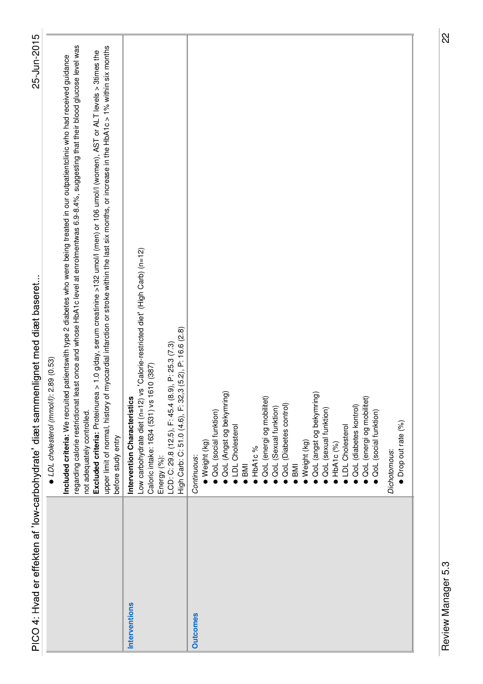|                 | PICO 4: Hvad er effekten af 'low-carbohydrate' diæt sammenlignet med diæt baseret                                                                                                                                                                                                                                  | 25-Jun-2015 |
|-----------------|--------------------------------------------------------------------------------------------------------------------------------------------------------------------------------------------------------------------------------------------------------------------------------------------------------------------|-------------|
|                 | LDL cholesterol (mmol/l): 2.89 (0.53)                                                                                                                                                                                                                                                                              |             |
|                 | regarding calorie restrictionat least once and whose HDA1c level at enrolmentwas 6.9-8.4%, suggesting that their blood glucose level was<br>patientswith type 2 diabetes who were being treated in our outpatientclinic who had received guidance<br>Included criteria: We recruited<br>not adequately controlled. |             |
|                 | upper limit of normal, history of myocardial infarction or stroke within the last six months, or increase in the HbA1c > 1% within six months<br>> 1.0 g/day, serum creatinine >132 umol/l (men) or 106 umol/l (women), AST or ALT levels > 3times the<br>Excluded criteria: Proteinurea<br>before study entry     |             |
| Interventions   | Intervention Characteristics                                                                                                                                                                                                                                                                                       |             |
|                 | Low carbohydrate diet (n=12) vs 'Calorie-restricted diet' (High Carb) (n=12)<br>Caloric intake: 1634 (531) vs 1610 (387)                                                                                                                                                                                           |             |
|                 | Energy (%):                                                                                                                                                                                                                                                                                                        |             |
|                 | $(5.2)$ , P: 16.6 $(2.8)$<br>LCD: C: 29.8 (12.5), F: 45.4 (8.9), P: 25.3 (7.3)<br>High Carb: C: 51.0 (4.6), F: 32,3                                                                                                                                                                                                |             |
| <b>Outcomes</b> | Continuous:                                                                                                                                                                                                                                                                                                        |             |
|                 | Weight (kg)                                                                                                                                                                                                                                                                                                        |             |
|                 | QoL (social funktion)                                                                                                                                                                                                                                                                                              |             |
|                 | QoL (Angst og bekymring)                                                                                                                                                                                                                                                                                           |             |
|                 | LDL Cholesterol                                                                                                                                                                                                                                                                                                    |             |
|                 | $\overline{\phantom{1}}$ BMI                                                                                                                                                                                                                                                                                       |             |
|                 | HbA1c%                                                                                                                                                                                                                                                                                                             |             |
|                 | · QoL (energi og mobilitet)                                                                                                                                                                                                                                                                                        |             |
|                 | OoL (Sexual funktion)                                                                                                                                                                                                                                                                                              |             |
|                 | QoL (Diabetes control)                                                                                                                                                                                                                                                                                             |             |
|                 | <b>IMB</b>                                                                                                                                                                                                                                                                                                         |             |
|                 | Weight (kg)                                                                                                                                                                                                                                                                                                        |             |
|                 | QoL (angst og bekymring)                                                                                                                                                                                                                                                                                           |             |
|                 | QoL (sexual funktion)                                                                                                                                                                                                                                                                                              |             |
|                 | LDL Cholesterol<br>HDA1C(%)                                                                                                                                                                                                                                                                                        |             |
|                 | <b>QoL</b> (diabetes kontrol)                                                                                                                                                                                                                                                                                      |             |
|                 | · QoL (energi og mobilitet)                                                                                                                                                                                                                                                                                        |             |
|                 | QoL (social funktion)                                                                                                                                                                                                                                                                                              |             |
|                 | Dichotomous:                                                                                                                                                                                                                                                                                                       |             |
|                 | Drop out rate (%)                                                                                                                                                                                                                                                                                                  |             |
|                 |                                                                                                                                                                                                                                                                                                                    |             |

Review Manager 5.3 22 Review Manager 5.3

22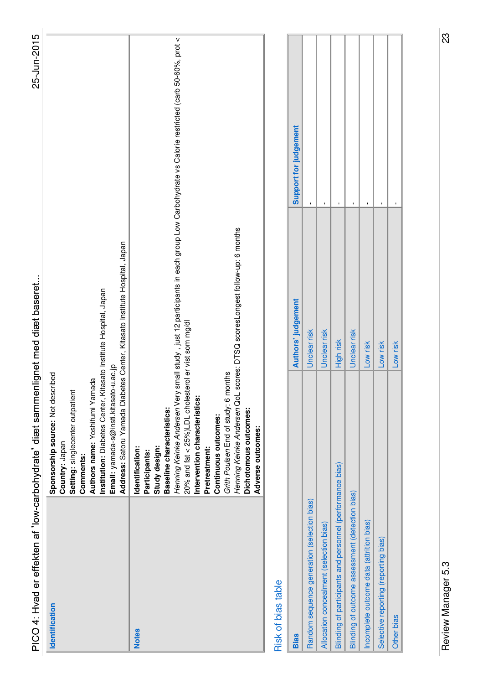| PICO 4: Hvad er effekten af 'low-carbohydrate' diæt sammenlignet med diæt baseret |                                                                                                                                                                                                                                                                                                                                                                      |                                                                            | 25-Jun-2015                                                                                                  |  |
|-----------------------------------------------------------------------------------|----------------------------------------------------------------------------------------------------------------------------------------------------------------------------------------------------------------------------------------------------------------------------------------------------------------------------------------------------------------------|----------------------------------------------------------------------------|--------------------------------------------------------------------------------------------------------------|--|
| Identification                                                                    | Institution: Diabetes Center, Kitasato Institute Hospital, Japan<br>Email: yamada-s@insti.kitasato-u.ac.jp<br>Sponsorship source: Not described<br>Authors name: Yoshifumi Yamada<br>Setting: singlecenter outpatient<br>Country: Japan<br>Comments:                                                                                                                 | Address: Satoru Yamada Diabetes Center, Kitasato Institute Hospital, Japan |                                                                                                              |  |
| <b>Notes</b>                                                                      | 20% and fat < 25%)LDL cholesterol er vist som mg/dl<br>Grith Poulsen End of study: 6 months<br>Henning Keinke Andersen Very<br>Henning Keinke Andersen QoL<br>Intervention characteristics:<br>Baseline characteristics:<br>Dichotomous outcomes:<br>Continuous outcomes:<br>Adverse outcomes:<br>Study design:<br>Identification:<br>Pretreatment:<br>Participants: | scores: DTSQ scoresLongest follow-up: 6 months                             | small study , just 12 participants in each group Low Carbohydrate vs Calorie restricted (carb 50-60%, prot < |  |
| Risk of bias table                                                                |                                                                                                                                                                                                                                                                                                                                                                      |                                                                            |                                                                                                              |  |
| <b>Bias</b>                                                                       |                                                                                                                                                                                                                                                                                                                                                                      | Authors' judgement                                                         | Support for judgement                                                                                        |  |
| Random sequence generation (selection bias)                                       |                                                                                                                                                                                                                                                                                                                                                                      | Unclear risk                                                               | $\mathbf{I}$                                                                                                 |  |
| Allocation concealment (selection bias)                                           |                                                                                                                                                                                                                                                                                                                                                                      | Unclear risk                                                               | $\mathbf I$                                                                                                  |  |
| Blinding of participants and personnel (performance bias)                         |                                                                                                                                                                                                                                                                                                                                                                      | High risk                                                                  | $\mathbf I$                                                                                                  |  |
| Blinding of outcome assessment (detection bias)                                   |                                                                                                                                                                                                                                                                                                                                                                      | Unclear risk                                                               | $\mathbf{I}$                                                                                                 |  |
| Incomplete outcome data (attrition bias)                                          |                                                                                                                                                                                                                                                                                                                                                                      | Low risk                                                                   | I,                                                                                                           |  |
| Selective reporting (reporting bias)                                              |                                                                                                                                                                                                                                                                                                                                                                      | Low risk                                                                   | $\mathbf I$                                                                                                  |  |
| Other bias                                                                        |                                                                                                                                                                                                                                                                                                                                                                      | Low risk                                                                   | $\mathbf{I}$                                                                                                 |  |

Review Manager 5.3 23 Review Manager 5.3

 $\boxed{3}$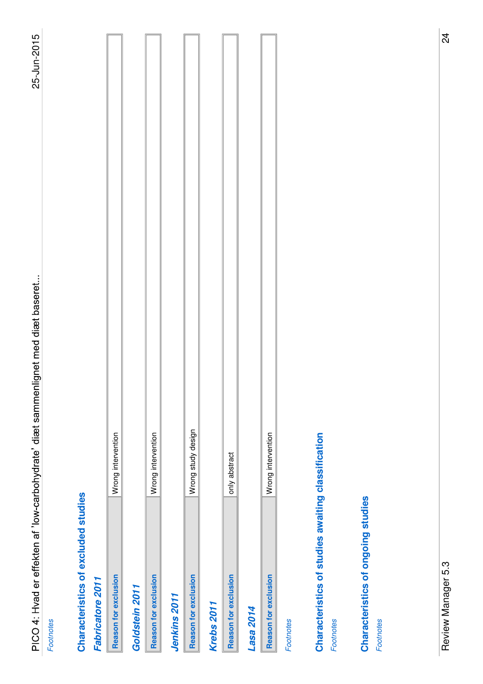**Footnotes** 

# Characteristics of excluded studies **Characteristics of excluded studies**

#### Fabricatore 2011 **Fabricatore 2011**

| <b>Reason for exclusion</b> | Wrong intervention |
|-----------------------------|--------------------|
| Goldstein 2011              |                    |
| <b>Reason for exclusion</b> | Wrong intervention |
|                             |                    |

# **Jenkins 2011**

| l<br>ļ |
|--------|
|        |

#### **Krebs 2011**

| I<br>I |
|--------|
|        |

#### **Lasa 2014**

| j<br>I |  |
|--------|--|
| ļ      |  |

Footnotes

# Characteristics of studies awaiting classification **Characteristics of studies awaiting classification**

**Footnotes** 

# Characteristics of ongoing studies **Characteristics of ongoing studies**

Footnotes Footnotes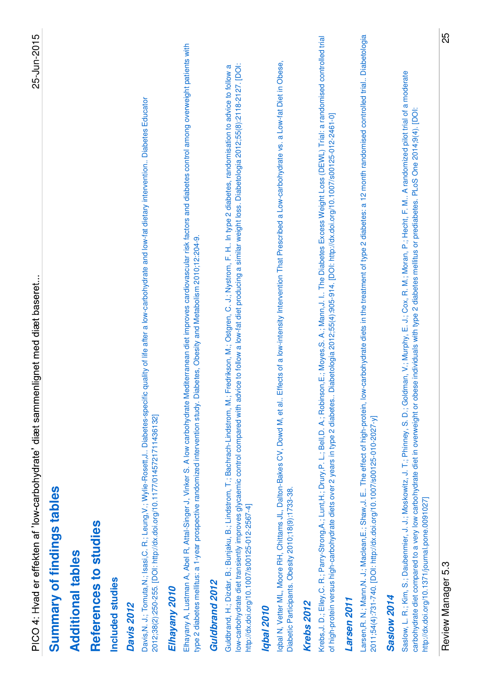| $\overline{\phantom{a}}$                                                         |
|----------------------------------------------------------------------------------|
|                                                                                  |
|                                                                                  |
|                                                                                  |
|                                                                                  |
|                                                                                  |
|                                                                                  |
|                                                                                  |
|                                                                                  |
|                                                                                  |
| ı                                                                                |
|                                                                                  |
| 5                                                                                |
| ֧֖֧֧֧֧֧֧֧ׅ֧֧֧֧֧ׅ֧֧֧֧֧֧֚֚֚֚֚֚֚֚֚֚֚֚֚֚֚֚֚֚֚֚֚֚֚֚֝֝֓֝֓֝֬֝֓֝֓֝֬֜֓֝֬֝֓֝֬֝֬֜֝֬֝֬֝֬֝֬֝֬ |
|                                                                                  |
|                                                                                  |
|                                                                                  |
| ו<br>ו                                                                           |
|                                                                                  |
|                                                                                  |
|                                                                                  |
|                                                                                  |
|                                                                                  |
| י<br>הוב                                                                         |
|                                                                                  |

# Summary of findings tables **Summary of findings tables**

#### **Additional tables Additional tables**

# References to studies **References to studies**

#### Included studies **Included studies**

### **Davis 2012**

Davis,N. J.; Tomuta,N.; Isasi,C. R.; Leung,V.; Wylie-Rosett,J.. Diabetes-specific quality of life after a low-carbohydrate and low-fat dietary intervention.. Diabetes Educator Davis,N. J.; Tomuta,N.; Isasi,C. R.; Leung,V.; Wylie-Rosett,J.. Diabetes-specific quality of life after a low-carbohydrate and low-fat dietary intervention.. Diabetes Educator 2012;38(2):250-255. [DOI: http://dx.doi.org/10.1177/0145721711436132] 2012;38(2):250-255. [DOI: http://dx.doi.org/10.1177/0145721711436132]

#### Elhayany 2010 **Elhayany 2010**

Elhayany A, Lustman A, Abel R, Attal-Singer J, Vinker S. A low carbohydrate Mediterranean diet improves cardiovascular risk factors and diabetes control among overweight patients with Elhayany A, Lustman A, Abel R, Attal-Singer J, Vinker S. A low carbohydrate Mediterranean diet improves cardiovascular risk factors and diabetes control among overweight patients with type 2 diabetes mellitus: a 1-year prospective randomized intervention study. Diabetes, Obesity and Metabolism 2010;12:204-9. type 2 diabetes mellitus: a 1-year prospective randomized intervention study. Diabetes, Obesity and Metabolism 2010;12:204-9.

#### Guldbrand 2012 **Guldbrand 2012**

low-carbohydrate diet transiently improves glycaemic control compared with advice to follow a low-fat diet producing a similar weight loss. Diabetologia 2012;55(8):2118-2127. [DOI: Guldbrand, H.; Dizdar, B.; Bunjaku, B.; Lindstrom, T.; Bachrach-Lindstrom, M.; Fredrikson, M.; Ostgren, C. J.; Nystrom, F. H.. In type 2 diabetes, randomisation to advice to follow a Guldbrand, H.; Dizdar, B.; Bunjaku, B.; Lindstrom, T.; Bachrach-Lindstrom, M.; Fredrikson, M.; Ostgren, C. J.; Nystrom, F. H.. In type 2 diabetes, randomisation to advice to follow a ow-carbohydrate diet transiently improves glycaemic control compared with advice to follow a low-fat diet producing a similar weight loss. Diabetologia 2012;55(8):2118-2127. [DOI: http://dx.doi.org/10.1007/s00125-012-2567-4] http://dx.doi.org/10.1007/s00125-012-2567-4]

#### **Iqbal 2010**

Iqbal N, Vetter ML, Moore RH, Chittams JL, Dalton-Bakes CV, Dowd M, et al.. Effects of a low-intensity Intervention That Prescribed a Low-carbohydrate vs. a Low-fat Diet in Obese, lobal N, Vetter ML, Moore RH, Chittams JL, Dalton-Bakes CV, Dowd M, et al.. Effects of a low-intensity Intervention That Prescribed a Low-carbohydrate vs. a Low-fat Diet in Obese, Diabetic Participants. Obesity 2010;18(9):1733-38. Diabetic Participants. Obesity 2010;18(9):1733-38.

### **Krebs 2012**

Krebs,J. D.; Elley,C. R.; Parry-Strong,A.; Lunt,H.; Drury,P. L.; Bell,D. A.; Robinson,E.; Moyes,S. A.; Mann,J. I.. The Diabetes Excess Weight Loss (DEWL) Trial: a randomised controlled trial Krebs,J. D.; Elley,C. R.; Parry-Strong,A.; Lunt,H.; Drury,P. L.; Bell,D. A.; Robinson,E.; Moyes,S. A.; Mann,J. I.. The Diabetes Excess Weight Loss (DEWL) Trial: a randomised controlled trial of high-protein versus high-carbohydrate diets over 2 years in type 2 diabetes.. Diabetologia 2012;55(4):905-914. [DOI: http://dx.doi.org/10.1007/s00125-012-2461-0] of high-protein versus high-carbohydrate diets over 2 years in type 2 diabetes.. Diabetologia 2012;55(4):905-914. [DOI: http://dx.doi.org/10.1007/s00125-012-2461-0]

### **Larsen 2011**

Larsen,R. N.; Maclean,E.; Shaw,J. E.; The effect of high-protein, low-carbohydrate diets in the treatment of type 2 diabetes: a 12 month randomised controlled trial.. Diabetologia Larsen, R. N.; Mann, N. J.; Maclean, E.; Shaw, J. E.. The effect of high-protein, low-carbohydrate diets in the treatment of type 2 diabetes: a 12 month randomised controlled trial.. Diabetologia 2011;54(4):731-740. [DOI: http://dx.doi.org/10.1007/s00125-010-2027-y] 2011;54(4):731-740. [DOI: http://dx.doi.org/10.1007/s00125-010-2027-y]

## **Saslow 2014**

Saslow, L. R.; Kim, S.; Daubemnier, J.; Moskowitz, J. T.; Phinney, S. D.; Goldman, V.; Murphy, E. J.; Cox, R. M.; Moran, P.; Hecht, F. M.. A randomized pilot trial of a moderate Saslow, L. R.; Kim, S.; Daubenmier, J. J.; Moskowitz, J. T.; Phinney, S. D.; Goldman, V.; Murphy, E. J.; Cox, R. M.; Moran, P.; Hecht, F. M.. A randomized pilot trial of a moderate carbohydrate diet compared to a very low carbohydrate diet in overweight or obese individuals with type 2 diabetes mellitus or prediabetes. PLoS One 2014;9(4). [DOI: carbohydrate diet compared to a very low carbohydrate diet in overweight or obese individuals with type 2 diabetes mellitus or prediabetes. PLoS One 2014;9(4). [DOI: http://dx.doi.org/10.1371/journal.pone.0091027] http://dx.doi.org/10.1371/journal.pone.0091027]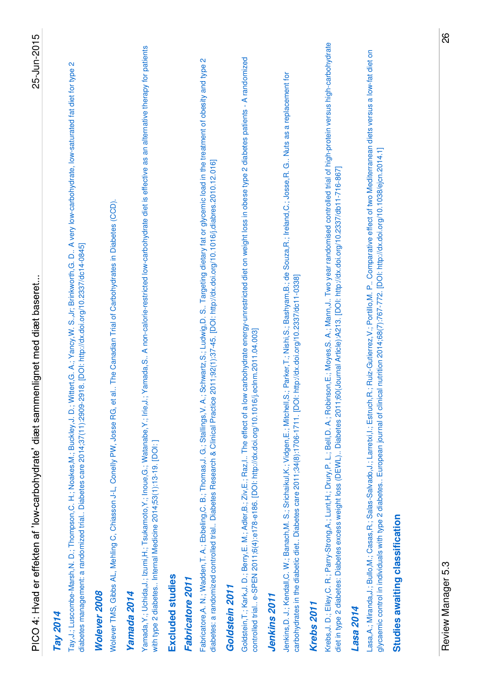| Krebs,J. D.; Elley,C. R.; Parry-Strong,A.; Lunt,H.; Drury,P. L.; Bell,D. A.; Robinson,E.; Moyes,S. A.; Mann,J. Two year randomised controlled trial of high-protein versus high-carbohydrate<br>Yamada, S A non-calorie-restricted low-carbohydrate diet is effective as an alternative therapy for patients<br>carbohydrate energy-unrestricted diet on weight loss in obese type 2 diabetes patients - A randomized<br>Schwartz, S.; Ludwig, D. S Targeting dietary fat or glycemic load in the treatment of obesity and type 2<br>Tay,J.; Luscombe-Marsh,N. D.; Thompson,C. H.; Noakes,M.; Buckley,J. D.; Wittert,G. A.; Yancy,W. S.,Jr; Brinkworth,G. D A very low-carbohydrate, low-saturated fat diet for type 2<br>Jenkins, D. J.; Kendall, C. W.; Banach, M. S.; Srichaikul, K.; Vidgen, E.; Mitchell, S.; Parker, T.; Nishi, S.; Bashyam, B.; de Souza, R.; Ireland, C.; Josse, R. G Nuts as a replacement for<br>diabetes: a randomized controlled trial Diabetes Research & Clinical Practice 2011;92(1):37-45. [DOI: http://dx.doi.org/10.1016/j.diabres.2010.12.016]<br>diet in type 2 diabetes: Diabetes excess weight loss (DEWL) Diabetes 2011;60(Journal Article):A213. [DOI: http://dx.doi.org/10.2337/db11-716-867]<br>Wolever TMS, Gibbs AL, Mehling C, Chiasson J-L, Conelly PW, Josse RG, et al The Canadian Trial of Carbohydrates in Diabetes (CCD).<br>diabetes management: a randomized trial Diabetes care 2014;37(11):2909-2918. [DOI: http://dx.doi.org/10.2337/dc14-0845]<br>carbohydrates in the diabetic diet Diabetes care 2011;34(8):1706-1711. [DOI: http://dx.doi.org/10.2337/dc11-0338]<br>eclnm.2011.04.003]<br>Fabricatore, A. N.; Wadden, T. A.; Ebbeling, C. B.; Thomas, J. G.; Stallings, V. A.;<br>Goldstein, T.; Kark, J. D.; Berry, E. M.; Adler, B.; Ziv, E.; Raz, I The effect of a low<br>controlled trial e-SPEN 2011;6(4):e178-e186. [DOI: http://dx.doi.org/10.1016/j.<br>Yamada, Y.; Uchida, J.; Izumi, H.; Tsukamoto, Y.; Inoue, G.; Watanabe, Y.; Irie, J.;<br>with type 2 diabetes Internal Medicine 2014;53(1):13-19. [DOI: ]<br>Excluded studies<br>Fabricatore 2011<br>Goldstein 2011<br>Wolever 2008<br>Yamada 2014<br><b>Jenkins 2011</b><br><b>Krebs 2011</b><br>Lasa 2014<br>Tay 2014 |  |
|-----------------------------------------------------------------------------------------------------------------------------------------------------------------------------------------------------------------------------------------------------------------------------------------------------------------------------------------------------------------------------------------------------------------------------------------------------------------------------------------------------------------------------------------------------------------------------------------------------------------------------------------------------------------------------------------------------------------------------------------------------------------------------------------------------------------------------------------------------------------------------------------------------------------------------------------------------------------------------------------------------------------------------------------------------------------------------------------------------------------------------------------------------------------------------------------------------------------------------------------------------------------------------------------------------------------------------------------------------------------------------------------------------------------------------------------------------------------------------------------------------------------------------------------------------------------------------------------------------------------------------------------------------------------------------------------------------------------------------------------------------------------------------------------------------------------------------------------------------------------------------------------------------------------------------------------------------------------------------------------------------------------------------------------------------------------------------------------------------------------------------------------------------------------------------------------------------------------------------------------------------|--|
|                                                                                                                                                                                                                                                                                                                                                                                                                                                                                                                                                                                                                                                                                                                                                                                                                                                                                                                                                                                                                                                                                                                                                                                                                                                                                                                                                                                                                                                                                                                                                                                                                                                                                                                                                                                                                                                                                                                                                                                                                                                                                                                                                                                                                                                     |  |
|                                                                                                                                                                                                                                                                                                                                                                                                                                                                                                                                                                                                                                                                                                                                                                                                                                                                                                                                                                                                                                                                                                                                                                                                                                                                                                                                                                                                                                                                                                                                                                                                                                                                                                                                                                                                                                                                                                                                                                                                                                                                                                                                                                                                                                                     |  |
|                                                                                                                                                                                                                                                                                                                                                                                                                                                                                                                                                                                                                                                                                                                                                                                                                                                                                                                                                                                                                                                                                                                                                                                                                                                                                                                                                                                                                                                                                                                                                                                                                                                                                                                                                                                                                                                                                                                                                                                                                                                                                                                                                                                                                                                     |  |
|                                                                                                                                                                                                                                                                                                                                                                                                                                                                                                                                                                                                                                                                                                                                                                                                                                                                                                                                                                                                                                                                                                                                                                                                                                                                                                                                                                                                                                                                                                                                                                                                                                                                                                                                                                                                                                                                                                                                                                                                                                                                                                                                                                                                                                                     |  |
|                                                                                                                                                                                                                                                                                                                                                                                                                                                                                                                                                                                                                                                                                                                                                                                                                                                                                                                                                                                                                                                                                                                                                                                                                                                                                                                                                                                                                                                                                                                                                                                                                                                                                                                                                                                                                                                                                                                                                                                                                                                                                                                                                                                                                                                     |  |
|                                                                                                                                                                                                                                                                                                                                                                                                                                                                                                                                                                                                                                                                                                                                                                                                                                                                                                                                                                                                                                                                                                                                                                                                                                                                                                                                                                                                                                                                                                                                                                                                                                                                                                                                                                                                                                                                                                                                                                                                                                                                                                                                                                                                                                                     |  |
|                                                                                                                                                                                                                                                                                                                                                                                                                                                                                                                                                                                                                                                                                                                                                                                                                                                                                                                                                                                                                                                                                                                                                                                                                                                                                                                                                                                                                                                                                                                                                                                                                                                                                                                                                                                                                                                                                                                                                                                                                                                                                                                                                                                                                                                     |  |
|                                                                                                                                                                                                                                                                                                                                                                                                                                                                                                                                                                                                                                                                                                                                                                                                                                                                                                                                                                                                                                                                                                                                                                                                                                                                                                                                                                                                                                                                                                                                                                                                                                                                                                                                                                                                                                                                                                                                                                                                                                                                                                                                                                                                                                                     |  |
|                                                                                                                                                                                                                                                                                                                                                                                                                                                                                                                                                                                                                                                                                                                                                                                                                                                                                                                                                                                                                                                                                                                                                                                                                                                                                                                                                                                                                                                                                                                                                                                                                                                                                                                                                                                                                                                                                                                                                                                                                                                                                                                                                                                                                                                     |  |
|                                                                                                                                                                                                                                                                                                                                                                                                                                                                                                                                                                                                                                                                                                                                                                                                                                                                                                                                                                                                                                                                                                                                                                                                                                                                                                                                                                                                                                                                                                                                                                                                                                                                                                                                                                                                                                                                                                                                                                                                                                                                                                                                                                                                                                                     |  |
|                                                                                                                                                                                                                                                                                                                                                                                                                                                                                                                                                                                                                                                                                                                                                                                                                                                                                                                                                                                                                                                                                                                                                                                                                                                                                                                                                                                                                                                                                                                                                                                                                                                                                                                                                                                                                                                                                                                                                                                                                                                                                                                                                                                                                                                     |  |
|                                                                                                                                                                                                                                                                                                                                                                                                                                                                                                                                                                                                                                                                                                                                                                                                                                                                                                                                                                                                                                                                                                                                                                                                                                                                                                                                                                                                                                                                                                                                                                                                                                                                                                                                                                                                                                                                                                                                                                                                                                                                                                                                                                                                                                                     |  |
|                                                                                                                                                                                                                                                                                                                                                                                                                                                                                                                                                                                                                                                                                                                                                                                                                                                                                                                                                                                                                                                                                                                                                                                                                                                                                                                                                                                                                                                                                                                                                                                                                                                                                                                                                                                                                                                                                                                                                                                                                                                                                                                                                                                                                                                     |  |
|                                                                                                                                                                                                                                                                                                                                                                                                                                                                                                                                                                                                                                                                                                                                                                                                                                                                                                                                                                                                                                                                                                                                                                                                                                                                                                                                                                                                                                                                                                                                                                                                                                                                                                                                                                                                                                                                                                                                                                                                                                                                                                                                                                                                                                                     |  |
|                                                                                                                                                                                                                                                                                                                                                                                                                                                                                                                                                                                                                                                                                                                                                                                                                                                                                                                                                                                                                                                                                                                                                                                                                                                                                                                                                                                                                                                                                                                                                                                                                                                                                                                                                                                                                                                                                                                                                                                                                                                                                                                                                                                                                                                     |  |
| Lasa, A.; Miranda, J.; Bullo, M.; Casas, R.; Salas-Salvado, J.; Larretxi, I.; Estruch, R.; Ruiz-Gutierrez, V.; Portillo, M. P Comparative effect of two Mediterranean diets versus a low-fat diet on<br>glycaemic control in individuals with type 2 diabetes European journal of clinical nutrition 2014;68(7):767-772. [DOI: http://dx.doi.org/10.1038/ejcn.2014.1]                                                                                                                                                                                                                                                                                                                                                                                                                                                                                                                                                                                                                                                                                                                                                                                                                                                                                                                                                                                                                                                                                                                                                                                                                                                                                                                                                                                                                                                                                                                                                                                                                                                                                                                                                                                                                                                                               |  |
| Studies awaiting classification                                                                                                                                                                                                                                                                                                                                                                                                                                                                                                                                                                                                                                                                                                                                                                                                                                                                                                                                                                                                                                                                                                                                                                                                                                                                                                                                                                                                                                                                                                                                                                                                                                                                                                                                                                                                                                                                                                                                                                                                                                                                                                                                                                                                                     |  |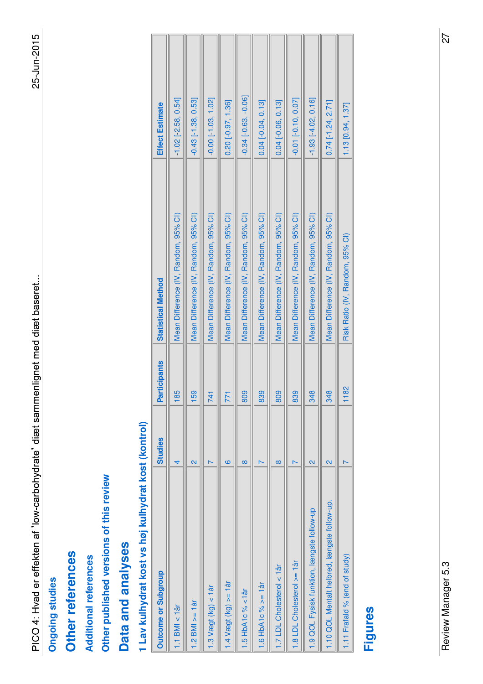#### **Ongoing studies Ongoing studies**

#### Other references **Other references**

#### **Additional references Additional references**

Other published versions of this review **Other published versions of this review**

### Data and analyses **Data and analyses**

# 1 Lav kulhydrat kost vs høj kulhydrat kost (kontrol) **1 Lav kulhydrat kost vs høj kulhydrat kost (kontrol)**

| <b>Outcome or Subgroup</b>                   | <b>Studies</b>          | <b>Participants</b>          | <b>Statistical Method</b>            | <b>Effect Estimate</b>    |
|----------------------------------------------|-------------------------|------------------------------|--------------------------------------|---------------------------|
| $1.1$ BMI < $1$ år                           |                         | 85                           | Mean Difference (IV, Random, 95% CI) | $-1.02$ [ $-2.58, 0.54$ ] |
| $1.2$ BMI $>= 1$ ar                          | $\overline{\mathsf{c}}$ | 59                           | Mean Difference (IV, Random, 95% CI) | $-0.43$ $[-1.38, 0.53]$   |
| $1.3$ Vægt (kg) < 1 år                       |                         |                              | Mean Difference (IV, Random, 95% CI) | $-0.00$ $[-1.03, 1.02]$   |
| $-14$ Vægt (kg) $\geq -1$ år                 | ဖ                       |                              | Mean Difference (IV, Random, 95% CI) | $0.20$ $[-0.97, 1.36]$    |
| $.5$ HbA1c % $<$ 1 år                        | $\infty$                | 809                          | Mean Difference (IV, Random, 95% CI) | $-0.34[-0.63, -0.06]$     |
| $.6$ HbA1c % $>$ = 1år                       |                         | 839                          | Mean Difference (IV, Random, 95% CI) | $0.04$ [-0.04, 0.13]      |
| .7 LDL Cholesterol < 1år                     | $\infty$                | 809                          | Mean Difference (IV, Random, 95% CI) | $0.04$ $[-0.06, 0.13]$    |
| 1.8 LDL Cholesterol >= 1år                   |                         | 839                          | Mean Difference (IV, Random, 95% CI) | $-0.01$ $[-0.10, 0.07]$   |
| 1.9 QOL Fysisk funktion, længste follow-up   | 2                       | 348                          | Mean Difference (IV, Random, 95% CI) | $-1.93$ $[-4.02, 0.16]$   |
| 1.10 QOL Mentalt helbred, længste follow-up. | $\overline{\mathsf{d}}$ | $\frac{\infty}{\infty}$<br>ळ | Mean Difference (IV, Random, 95% CI) | $0.74$ [-1.24, 2.71]      |
| 1.11 Frafald % (end of study)                |                         | $\frac{8}{2}$                | Risk Ratio (IV, Random, 95% CI)      | $1.13$ [0.94, 1.37]       |

#### **Figures**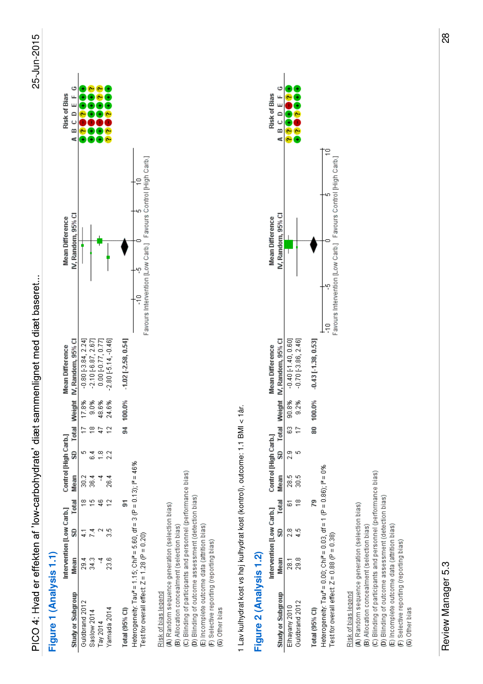#### Figure 1 (Analysis 1.1) **Figure 1 (Analysis 1.1)**

|                                                                                                                     | Intervention [Low Carb.] Control [High Carb.] |       |      |    |   |        | <b>Mean Difference</b>                  | <b>Mean Difference</b>                                        | <b>Risk of Bias</b> |
|---------------------------------------------------------------------------------------------------------------------|-----------------------------------------------|-------|------|----|---|--------|-----------------------------------------|---------------------------------------------------------------|---------------------|
| Study or Subgroup                                                                                                   | Mean                                          | Total |      |    |   |        | Mean SD Total Weight IV, Random, 95% CI | IV. Random, 95% CI                                            | A B C D E F G       |
| Guldbrand 2012                                                                                                      | ನೆ                                            |       | 30.2 |    |   | 17.8%  | $-0.80[-3.84, 2.24]$                    |                                                               |                     |
| Saslow 2014                                                                                                         | 34.3                                          |       | 36.4 | ತೆ | ≌ | 9.0%   | $-2.10[-6.87, 2.67]$                    |                                                               |                     |
| Tay $2014$                                                                                                          |                                               | ş     |      |    |   | 48.6%  | 0.00 [-0.77, 0.77]                      |                                                               |                     |
| Yamada 2014                                                                                                         | 23.6                                          |       | 26.4 |    |   | 24.6%  | $-2.80[-5.14, -0.46]$                   |                                                               |                     |
| Total (95% CI)                                                                                                      |                                               | 5     |      |    | ă | 100.0% | $1.02$ [ $2.58, 0.54$ ]                 |                                                               |                     |
| Heterogeneity: Tau = 1.15; Chi = 5.60, df = 3 (P = 0.13); P = 46%<br>Test for overall effect: $Z = 1.28$ (P = 0.20) |                                               |       |      |    |   |        |                                         | Favours Intervention [Low Carb.] Favours Control [High Carb.] |                     |
| Risk of bias legend                                                                                                 |                                               |       |      |    |   |        |                                         |                                                               |                     |

(A) Random sequence generation (selection bias)<br>(B) Allocation concealment (selection bias)<br>(C) Blinding of participants and personnel (performance bias)<br>(D) Blinding of outcome assessment (detection bias)<br>(E) Incomplete o

# 1 Lav kulhydrat kost vs høj kulhydrat kost (kontrol), outcome: 1.1 BMI < 1år. 1 Lav kulhydrat kost vs høj kulhydrat kost (kontrol), outcome: 1.1 BMI < 1år.

#### Figure 2 (Analysis 1.2) **Figure 2 (Analysis 1.2)**

|                                                                                                                       |                   |   |        | Intervention [Low Carb.] Control [High Carb.] |   |    |               | <b>Mean Difference</b>                            | <b>Mean Difference</b>                                        | <b>Risk of Bias</b> |
|-----------------------------------------------------------------------------------------------------------------------|-------------------|---|--------|-----------------------------------------------|---|----|---------------|---------------------------------------------------|---------------------------------------------------------------|---------------------|
| Study or Subgroup                                                                                                     | Mean              |   |        |                                               |   |    |               | SD Total Mean SD Total Weight IV, Randorn, 95% Cl | IV, Random, 95% CI                                            | ABCDEFG             |
| Guldbrand 2012<br>Elhayany 2010                                                                                       | 29.8<br><u>হু</u> | ă | ∞<br>ā | 28.5                                          | ă | සි | 90.8%<br>9.2% | $-0.40$ [-1.40, 0.60]<br>$-0.70$ $[-3.86, 2.46]$  |                                                               |                     |
| Total (95% CI)                                                                                                        |                   |   |        |                                               |   | ∞  | 100.0%        | $-0.43$ [ $-1.38, 0.53$ ]                         |                                                               |                     |
| Heterogeneity: Tau" = 0.00; Chi" = 0.03, df = 1 (P = 0.86); i" = 0%<br>Test for overall effect: $Z = 0.88$ (P = 0.38) |                   |   |        |                                               |   |    |               |                                                   | Favours Intervention [Low Carb.] Favours Control [High Carb.] |                     |
| (A) Random sequence generation (selection bias)<br>Risk of bias legend                                                |                   |   |        |                                               |   |    |               |                                                   |                                                               |                     |
| (B) Allocation concealment (selection bias)                                                                           |                   |   |        |                                               |   |    |               |                                                   |                                                               |                     |
| (C) Blinding of participants and personnel (performance bias)                                                         |                   |   |        |                                               |   |    |               |                                                   |                                                               |                     |
| (D) Blinding of outcome assessment (detection bias)                                                                   |                   |   |        |                                               |   |    |               |                                                   |                                                               |                     |
| (E) Incomplete outcome data (attrition bias)                                                                          |                   |   |        |                                               |   |    |               |                                                   |                                                               |                     |
| (F) Selective reporting (reporting bias)                                                                              |                   |   |        |                                               |   |    |               |                                                   |                                                               |                     |
| (G) Other bias                                                                                                        |                   |   |        |                                               |   |    |               |                                                   |                                                               |                     |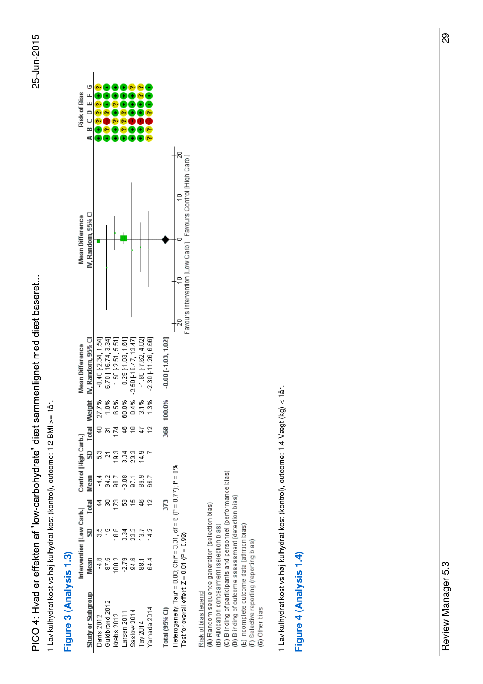1 Lav kulhydrat kost vs høj kulhydrat kost (kontrol), outcome: 1.2 BMI >= 1år. Lav kulhydrat kost vs høj kulhydrat kost (kontrol), outcome: 1.2 BMI >= 1år.

#### Figure 3 (Analysis 1.3) **Figure 3 (Analysis 1.3)**

|                                                                                                                      | Intervention [Low Carb.] Control [High Carb.] |                |            |               |               |                |        | Mean Difference                    | <b>Mean Difference</b>                                        |  | <b>Risk of Bias</b> |
|----------------------------------------------------------------------------------------------------------------------|-----------------------------------------------|----------------|------------|---------------|---------------|----------------|--------|------------------------------------|---------------------------------------------------------------|--|---------------------|
| Study or Subgroup                                                                                                    | Mean                                          | SD             | Total Mean |               |               |                |        | SD Total Weight IV, Random, 95% Cl | IV. Random. 95% CI                                            |  | A B C D E F G       |
| Davis 2012                                                                                                           | $\frac{8}{1}$                                 |                |            | $\frac{4}{1}$ |               | $\Xi$          | 27.7%  | $-0.40[-2.34, 1.54]$               |                                                               |  |                     |
| Guidbrand 2012                                                                                                       | 87.5                                          |                |            | 94.2          |               | $\overline{5}$ | 1.0%   | $-6.70$ $[-16.74, 3.34]$           |                                                               |  |                     |
| Krebs 2012                                                                                                           | 00.2                                          | $\frac{8}{10}$ |            | 98.7          | $\frac{3}{2}$ | ζ4             | 6.5%   | $1.50$ [-2.51, 5.51]               |                                                               |  |                     |
| arsen 2011                                                                                                           | $-2.79$                                       | ್ಲಿ            |            | $-3.08$       | 33<br>31      | Ş              | 60.0%  | $0.29$ [-1.03, 1.61]               |                                                               |  |                     |
| Saslow 2014                                                                                                          | 94.6                                          | 23             | ٩          | 97.1          | 23.3          | $\frac{8}{1}$  | 0.4%   | $-2.50$ [-18.47, 13.47]            |                                                               |  |                     |
| Tay $2014$                                                                                                           | $\overline{8}$                                | 137            |            | 89.9          | 14.9          | ្នុ            | 3.1%   | $-1.80$ $[-7.62, 4.02]$            |                                                               |  |                     |
| Yamada 2014                                                                                                          | 64.4                                          | $\frac{2}{4}$  |            | 66.7          |               | $\tilde{c}$    | 1.3%   | $-2.30$ $[-11.26, 6.66]$           |                                                               |  |                     |
| Total (95% CI)                                                                                                       |                                               |                | 373        |               |               | 368            | 100.0% | $-0.00$ [ $-1.03$ , $1.02$ ]       |                                                               |  |                     |
| Heterogenetiy: Tau* = 0.00; Chi* = 3.31, df = 6 (P = 0.77); P = 0%<br>Test for overall effect: $Z = 0.01$ (P = 0.99) |                                               |                |            |               |               |                |        |                                    | Favours Intervention [Low Carb.] Favours Control [High Carb.] |  |                     |
|                                                                                                                      |                                               |                |            |               |               |                |        |                                    |                                                               |  |                     |

Risk of bias legend<br>(A) Random sequence generation (selection bias)<br>(B) Allocation concealment (selection bias)<br>(C) Blinding of participants and personnel (performance bias)<br>(D) Blinding of outcome assessment (detection bi

1 Lav kulhydrat kost vs høj kulhydrat kost (kontrol), outcome: 1.4 Vægt (kg) < 1år. 1 Lav kulhydrat kost vs høj kulhydrat kost (kontrol), outcome: 1.4 Vægt (kg) < 1år.

#### Figure 4 (Analysis 1.4) **Figure 4 (Analysis 1.4)**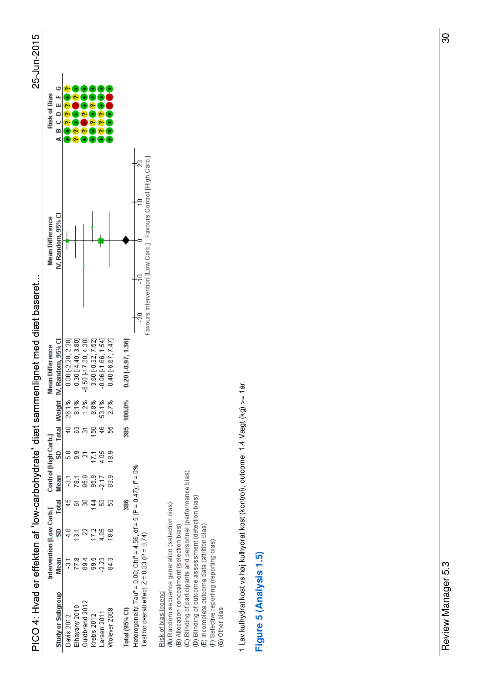PICO 4: Hvad er effekten af 'low-carbohydrate' diæt sammenlignet med diæt baseret...

| ٢ |
|---|
|   |
|   |
|   |
|   |
|   |
|   |
|   |
|   |
|   |
|   |

|   | Risk of Bias                                  | A B C D E F G            |                      |                         |                       |                    |                       |                        |                         |                                                                                                                    |
|---|-----------------------------------------------|--------------------------|----------------------|-------------------------|-----------------------|--------------------|-----------------------|------------------------|-------------------------|--------------------------------------------------------------------------------------------------------------------|
|   | <b>Mean Difference</b>                        | IV. Random, 95% CI       |                      |                         |                       |                    |                       |                        |                         | Favours Intervention [Low Carb.] Favours Control [High Carb.]                                                      |
|   | <b>Mean Difference</b>                        | Weight N, Random, 95% Cl | $0.00$ [-2.28, 2.28] | $-0.30$ $[-4.40, 3.80]$ | $0.50$ [-17.30, 4.30] | 3.60 [-0.32, 7.52] | $-0.06$ [-1.66, 1.54] | $0.40 [ -6.67, 7.47 ]$ | $0.20$ $[ -0.97, 1.36]$ |                                                                                                                    |
|   |                                               |                          | 26.1%                | 8.1%                    | 1.2%                  | 88%                | 53.1%                 | 2.7%                   | 00.0%                   |                                                                                                                    |
|   | Intervention [Low Carb.] Control [High Carb.] | SD Total                 |                      | ុ<br>ទ<br>တ္တ           |                       | Ş<br>21            | ٩e<br>4.05            | $\frac{8}{6}$          | 385                     |                                                                                                                    |
| , |                                               | Mean                     | ៊ុ                   | 787                     | 95.9                  | 95.9               | $-2.17$               | 83.9                   |                         |                                                                                                                    |
|   |                                               | Total                    |                      |                         |                       | 걸                  |                       |                        | 386                     |                                                                                                                    |
|   |                                               | S                        |                      | ē                       | 2                     | 21                 | $\frac{8}{2}$         | $\frac{6}{18}$         |                         |                                                                                                                    |
|   |                                               | Mean                     | ភូ                   | 77.8                    | 89.4                  | 99.5               | 2.23                  | 84.3                   |                         |                                                                                                                    |
|   |                                               | Study or Subgroup        | Davis 2012           | Elhayany 2010           | Guidbrand 2012        | Krebs 2012         | arsen 2011            | Wolever 2008           | Total (95% CI)          | Heterogeneity: Tau = 0.00; Chi = 4.56, df = 5 (P = 0.47); P = 0%<br>Test for overall effect: $Z = 0.33$ (P = 0.74) |

# Risk of bias legend

(B) Allocation concealment (selection bias)<br>(C) Blinding of participants and personnel (performance bias)<br>(D) Blinding of outcome assessment (detection bias)<br>(E) Incomplete outcome data (attrition bias)<br>(F) Selective repor (A) Random sequence generation (selection bias)

1 Lav kulhydrat kost vs høj kulhydrat kost (kontrol), outcome: 1.4 Vægt (kg) >= 1år. 1 Lav kulhydrat kost vs høj kulhydrat kost (kontrol), outcome: 1.4 Vægt (kg) >= 1år.

#### Figure 5 (Analysis 1.5) **Figure 5 (Analysis 1.5)**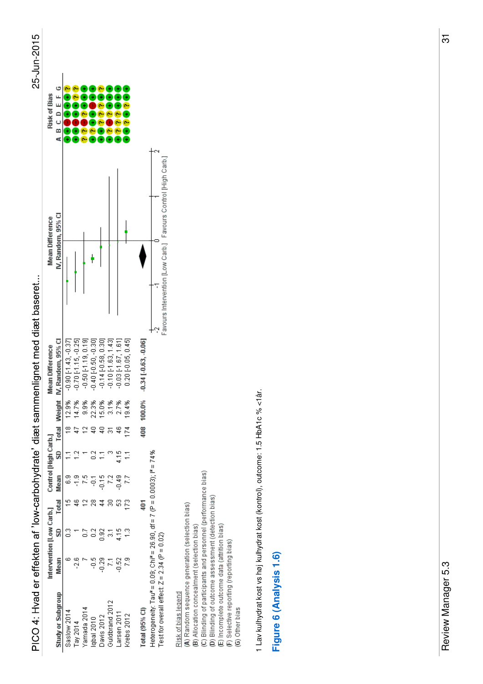PICO 4: Hvad er effekten af 'low-carbohydrate' diæt sammenlignet med diæt baseret...

| L<br>r |
|--------|
|        |
|        |
|        |
|        |
|        |
|        |
|        |
|        |
|        |
|        |

| Risk of Bias             | A B C D E F G             |                          |                          |                                 |                          |                         |                         |                         |                      |                         |                                                                                                                           |
|--------------------------|---------------------------|--------------------------|--------------------------|---------------------------------|--------------------------|-------------------------|-------------------------|-------------------------|----------------------|-------------------------|---------------------------------------------------------------------------------------------------------------------------|
| Mean Difference          | IV. Random. 95% CI        |                          |                          |                                 |                          |                         |                         |                         |                      |                         | Favours Intervention [Low Carb.] Favours Control [High Carb.]                                                             |
| <b>Mean Difference</b>   | Weight IV, Random, 95% CI | $-0.90$ $[-1.43, -0.37]$ | $-0.70$ $[-1.15, -0.25]$ | $-0.50$ $[-1.19, 0.19]$         | $-0.40$ $[-0.50, -0.30]$ | $-0.14$ $[-0.58, 0.30]$ | $-0.10$ $[-1.63, 1.43]$ | $-0.03$ $[-1.67, 1.61]$ | $0.20$ [-0.05, 0.45] | $0.34$   $0.63$ , 0.06] |                                                                                                                           |
|                          |                           | 12.9%<br>≌               | 14.7%<br>4ř              | 9.9%<br>$\overline{\mathbf{C}}$ | 22.3%<br>ą               | 15.0%<br>₹,             | 3.1%<br>5               | 2.7%<br>Ş               | 19.4%<br>I74         | 00.0%<br>å08            |                                                                                                                           |
| Control [High Carb.]     | SD Total                  |                          |                          |                                 |                          |                         |                         | 4.15                    |                      |                         |                                                                                                                           |
|                          | Mean                      | င်                       |                          | Ю.                              | ė                        | $-0.15$                 | 22                      | $-0.49$                 | 27                   |                         |                                                                                                                           |
| Intervention [Low Carb.] | Total                     |                          |                          |                                 |                          |                         |                         |                         | î73                  | $\frac{40}{1}$          |                                                                                                                           |
|                          | S                         |                          |                          |                                 | ៍                        | $\frac{8}{2}$           |                         | $\frac{5}{2}$           | $\frac{3}{2}$        |                         |                                                                                                                           |
|                          | Mean                      |                          | $-2$ $\epsilon$          |                                 | Ş                        | $-0.29$                 | Σ,                      | 0.52                    | $\frac{8}{2}$        |                         |                                                                                                                           |
|                          | <b>Study or Subgroup</b>  | Saslow 2014              | Tay 2014                 | Yamada 2014                     | lqbal 2010               | Davis 2012              | Guldbrand 2012          | Larsen 2011             | Krebs 2012           | Total (95% CI)          | Heterogeneity: Tau* = 0.09; Chi* = 26.90, df = 7 (P = 0.0003); l* = 74%<br>Test for overall effect: $Z = 2.34$ (P = 0.02) |

## Risk of bias legend

(A) Random sequence generation (selection bias)<br>(B) Allocation concealment (selection bias)<br>(C) Blinding of participants and personnel (performance bias)<br>(D) Blinding of outcome assessment (detection bias)<br>(E) Incomplete o

1 Lav kulhydrat kost vs høj kulhydrat kost (kontrol), outcome: 1.5 HbA1c % <1år. 1 Lav kulhydrat kost vs høj kulhydrat kost (kontrol), outcome: 1.5 HbA1c % <1år.

#### Figure 6 (Analysis 1.6) **Figure 6 (Analysis 1.6)**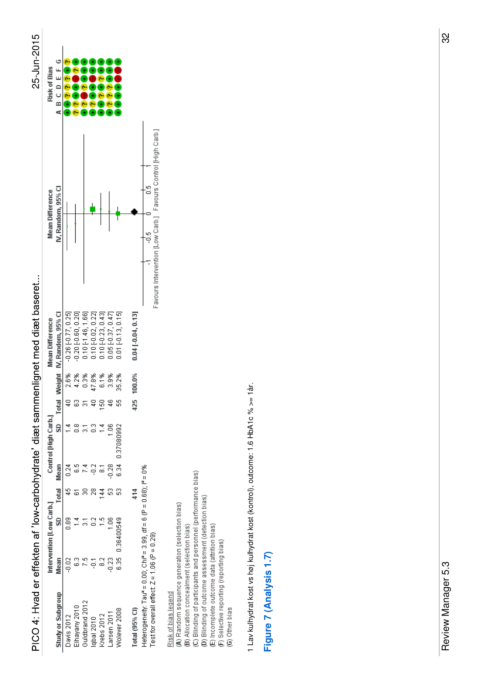



| Risk of Bias             | ABCDEFG                   |                      |                         |                      |                    |                          |                      |                    |                          |                                                                                                                       |
|--------------------------|---------------------------|----------------------|-------------------------|----------------------|--------------------|--------------------------|----------------------|--------------------|--------------------------|-----------------------------------------------------------------------------------------------------------------------|
| <b>Mean Difference</b>   | IV. Random, 95% CI        |                      |                         |                      |                    |                          |                      |                    |                          | Favours Intervention [Low Carb.] Favours Control [High Carb.]                                                         |
| Mean Difference          | Weight IV, Random, 95% CI | $-0.26[-0.77, 0.25]$ | $-0.20$ $[-0.60, 0.20]$ | $0.10$ [-1.46, 1.66] | 0.10 [-0.02, 0.22] | $0.10$ [ $-0.23, 0.43$ ] | $0.05$ [-0.37, 0.47] | 0.01 [-0.13, 0.15] | $0.04$ [ $-0.04, 0.13$ ] |                                                                                                                       |
|                          |                           | 2.6%                 | 4.2%                    | 0.3%                 | 47.8%              | 6.1%                     | 3.9%                 | 35.2%              | 100.0%                   |                                                                                                                       |
|                          | SD Total                  |                      |                         |                      |                    | 3                        |                      | S                  | 425                      |                                                                                                                       |
| Control [High Carb.]     |                           |                      |                         |                      | ြိ                 |                          | g                    | 0.37080992         |                          |                                                                                                                       |
|                          | Mean                      | 0.24                 | ္ထ                      |                      | ៊ុ                 |                          | $-0.28$              | 6.34               |                          |                                                                                                                       |
|                          | Total                     |                      |                         |                      | 28                 | ₹                        |                      | S                  | $\frac{4}{4}$            |                                                                                                                       |
| Intervention [Low Carb.] | S                         | 88                   |                         |                      |                    |                          |                      | 6.35 0.36400549    |                          |                                                                                                                       |
|                          | Mean                      | $-0.02$              |                         |                      |                    |                          | $\frac{23}{2}$       |                    |                          |                                                                                                                       |
|                          | Study or Subgroup         | Davis 2012           | Elhayany 2010           | Guldbrand 2012       | lqbal 2010         | Krebs 2012               | arsen 2011           | Molever 2008       | Total (95% CI)           | Heterogeneity: Tau* = 0.00; Chi* = 3.99, df = 6 (P = 0.68); if = 0%<br>Test for overall effect: $Z = 1.06$ (P = 0.29) |

(B) Allocation concealment (selection bias)<br>(C) Blinding of participants and personnel (performance bias)<br>(D) Blinding of outcome assessment (detection bias)<br>(E) Incomplete outcome data (attrition bias)<br>(F) Selective repor <u>Risk of bias legend</u><br>(A) Random sequence generation (selection bias)

1 Lav kulhydrat kost vs høj kulhydrat kost (kontrol), outcome: 1.6 HbA1c % >= 1år. 1 Lav kulhydrat kost vs høj kulhydrat kost (kontrol), outcome: 1.6 HbA1c % >= 1år.

Figure 7 (Analysis 1.7) **Figure 7 (Analysis 1.7)**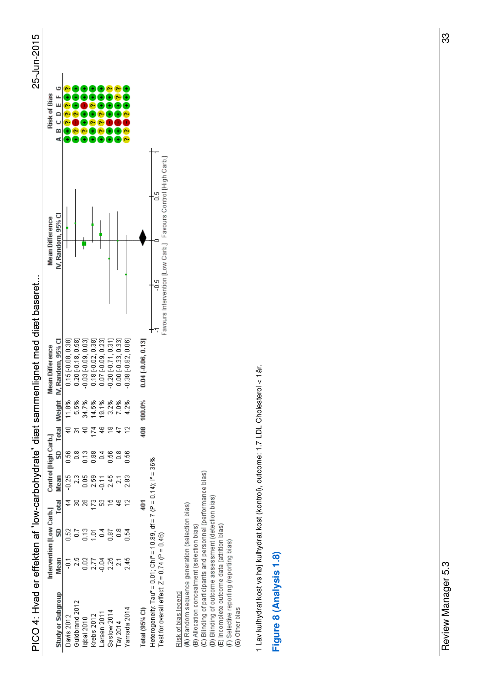PICO 4: Hvad er effekten af 'low-carbohydrate' diæt sammenlignet med diæt baseret...

| L<br>r |
|--------|
|        |
|        |
|        |
|        |
|        |
|        |
|        |
|        |
|        |
|        |

| <b>Risk of Bias</b>      | A B C D E F G             |                    |                        |                             |                             |                    |                        |                             |                     |                         |                                                                                                                         |  |
|--------------------------|---------------------------|--------------------|------------------------|-----------------------------|-----------------------------|--------------------|------------------------|-----------------------------|---------------------|-------------------------|-------------------------------------------------------------------------------------------------------------------------|--|
| <b>Mean Difference</b>   | IV. Random, 95% CI        |                    |                        |                             |                             |                    |                        |                             |                     |                         | Favours Intervention [Low Carb.] Favours Control [High Carb.]                                                           |  |
| <b>Mean Difference</b>   | Weight IV, Random, 95% CI | 0.15 [-0.08, 0.38] | $0.20$ $[-0.18, 0.58]$ | $0.03$ [ $-0.09$ , $0.03$ ] | $0.18$ [ $-0.02$ , $0.38$ ] | 0.07 [-0.09, 0.23] | $0.20$ $[-0.71, 0.31]$ | $0.00$ [ $-0.33$ , $0.33$ ] | $0.38[-0.82, 0.06]$ | $0.04$ $[ -0.06, 0.13]$ |                                                                                                                         |  |
|                          |                           | 11.8%              | 5.5%                   | 34.7%                       | 14.5%                       | 19.1%              | $3.2%$<br>7.0%<br>₽    |                             | 4.2%                | 100.0%<br>408           |                                                                                                                         |  |
| Control [High Carb.]     | SD Total<br>Mean          | 0.56<br>$-0.25$    | ္တိ<br>3               | ដឹ<br>0.05                  | $\frac{88}{11}$<br>2.59     | 증<br>$-0.11$       | 991<br>2.45            | 8<br>ă                      | S<br>2<br>2.83      |                         |                                                                                                                         |  |
|                          | Total<br>S                | ្ល                 |                        | 28<br>g                     | R<br>ğ                      | S                  | $\frac{8}{2}$          | 8                           | នី                  | $\frac{1}{2}$           |                                                                                                                         |  |
| Intervention [Low Carb.] | Mean                      |                    |                        | 0.02                        | 2.77<br>0.04                |                    | 2.25                   | ្ត                          | 245                 |                         |                                                                                                                         |  |
|                          | <b>Study or Subgroup</b>  | Davis 2012         | Guldbrand 2012         | lqbal 2010                  | Krebs 2012                  | Larsen 2011        | Saslow 2014            | Tay 2014                    | Yamada 2014         | Total (95% Cl)          | Heterogeneity: Tau* = 0.01; Chi* = 10.89, df = 7 (P = 0.14); l* = 36%<br>Test for overall effect: $Z = 0.74$ (P = 0.46) |  |

## Risk of bias legend

(A) Random sequence generation (selection bias)<br>(B) Allocation concealment (selection bias)<br>(C) Blinding of participants and personnel (performance bias)<br>(D) Blinding of outcome assessment (detection bias)<br>(E) Incomplete o

1 Lav kulhydrat kost vs høj kulhydrat kost (kontrol), outcome: 1.7 LDL Cholesterol < 1år. 1 Lav kulhydrat kost vs høj kulhydrat kost (kontrol), outcome: 1.7 LDL Cholesterol < 1år.

#### Figure 8 (Analysis 1.8) **Figure 8 (Analysis 1.8)**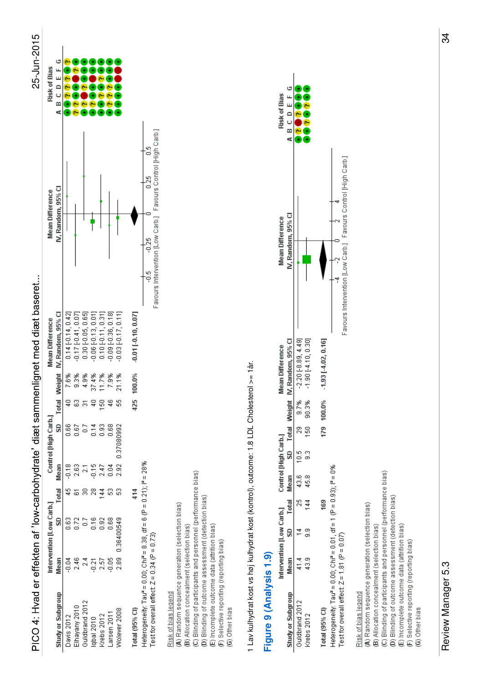



|                                                                      | Intervention [Low Carb.] |               |                |             | Control [High Carb.] |     |        | <b>Mean Difference</b>   | <b>Mean Difference</b>                                       | <b>Risk of Bias</b> |
|----------------------------------------------------------------------|--------------------------|---------------|----------------|-------------|----------------------|-----|--------|--------------------------|--------------------------------------------------------------|---------------------|
| Study or Subgroup                                                    | Mean                     | SD            | Total          | Mean        | SD Total             |     |        | Weight N, Random, 95% CI | IV. Random, 95% CI                                           | A B C D E F G       |
| Davis 2012                                                           | $-0.04$                  | ິຍິ           |                | $-0.18$     | 88                   |     | 7.6%   | 0.14 [-0.14, 0.42]       |                                                              |                     |
| lhayany 2010                                                         | 2.46                     | Š             |                | 2.63        | 58                   |     | 9.3%   | $-0.17[-0.41, 0.07]$     |                                                              |                     |
| Guldbrand 2012                                                       | ್ಸ                       | ិ             |                |             |                      |     | 4.9%   | $0.30[-0.05, 0.65]$      |                                                              |                     |
| lqbal 2010                                                           | $-0.21$                  | <u>ក្ន</u>    | g              | $-0.15$     | ្កី                  |     | 37.4%  | $-0.06$ $[-0.13, 0.01]$  |                                                              |                     |
| Krebs 2012                                                           | 2.57                     | $\frac{5}{2}$ | न              | 2.47        | 8                    | S   | 11.7%  | 0.10 [0.11, 0.31]        |                                                              |                     |
| arsen 2011                                                           | $\frac{8}{9}$            | 0.68          |                | $\tilde{e}$ | 88<br>D.G            | 46  | 7.9%   | $-0.09[-0.36, 0.18]$     |                                                              |                     |
| Nolever 2008                                                         | 2.89 0.36400549          |               | ្ល             | 2.92        | 0.37080992           | S   | 21.1%  | $-0.03[-0.17, 0.11]$     |                                                              |                     |
| Total (95% CI)                                                       |                          |               | $\frac{4}{14}$ |             |                      | 425 | 100.0% | $-0.01$ $[-0.10, 0.07]$  |                                                              |                     |
| Heterogeneity: Tau* = 0.00; Chi* = 8.38, df = 6 (P = 0.21); l* = 28% |                          |               |                |             |                      |     |        |                          | $-0.25$                                                      |                     |
| Test for overall effect: $Z = 0.34$ (P = 0.73)                       |                          |               |                |             |                      |     |        |                          | Eavours Intervention (Low Carb ) Eavours Control High Carb ) |                     |
|                                                                      |                          |               |                |             |                      |     |        |                          |                                                              |                     |

Risk of bias legend

(A) Random sequence generation (selection bias)<br>(B) Allocation concealment (selection bias)<br>(C) Blinding of participants and personnel (performance bias)<br>(D) Blinding of outcome assessment (detection bias)<br>(E) Incomplete o

1 Lav kulhydrat kost vs høj kulhydrat kost (kontrol), outcome: 1.8 LDL Cholesterol >= 1år. 1 Lav kulhydrat kost vs høj kulhydrat kost (kontrol), outcome: 1.8 LDL Cholesterol >= 1år.

#### Figure 9 (Analysis 1.9) **Figure 9 (Analysis 1.9)**

|                                                                     | Intervention [Low Carb.] |               | Control [High Carb.]   |      |                |        | <b>Mean Difference</b>   | <b>Mean Difference</b>                                        | Risk of Bias  |
|---------------------------------------------------------------------|--------------------------|---------------|------------------------|------|----------------|--------|--------------------------|---------------------------------------------------------------|---------------|
| Study or Subgroup                                                   | Mean                     |               | SD Total Mean SD Total |      |                |        | Weight N, Random, 95% Cl | IV. Random. 95% CI                                            | A B C D E F G |
| Guldbrand 2012                                                      | च<br>च                   | ķ,            | 43.6                   | 10.5 | g              | 9.7%   | $-2.20[-8.89, 4.49]$     |                                                               |               |
| Krebs 2012                                                          | a3.9                     | $\frac{4}{3}$ | 45.8                   |      | $\frac{50}{2}$ | 90.3%  | $-1.90[-4.10, 0.30]$     |                                                               |               |
| Total (95% CI)                                                      |                          | 169           |                        |      | 179            | 100.0% | $-1.93[-4.02, 0.16]$     |                                                               |               |
| Heterogeneity: Tau" = 0.00; Chi" = 0.01, df = 1 (P = 0.93); i" = 0% |                          |               |                        |      |                |        |                          |                                                               |               |
| Test for overall effect: $Z = 1.81$ (P = 0.07)                      |                          |               |                        |      |                |        |                          | Favours Intervention [Low Carb.] Favours Control [High Carb.] |               |
| Risk of bias legend                                                 |                          |               |                        |      |                |        |                          |                                                               |               |
| (A) Random sequence generation (selection bias)                     |                          |               |                        |      |                |        |                          |                                                               |               |
| (B) Allocation concealment (selection bias)                         |                          |               |                        |      |                |        |                          |                                                               |               |
| (C) Blinding of participants and personnel (performance bias)       |                          |               |                        |      |                |        |                          |                                                               |               |
| (D) Blinding of outcome assessment (detection bias)                 |                          |               |                        |      |                |        |                          |                                                               |               |
| (E) Incomplete outcome data (attrition bias)                        |                          |               |                        |      |                |        |                          |                                                               |               |
| (F) Selective reporting (reporting bias)                            |                          |               |                        |      |                |        |                          |                                                               |               |
| (G) Other bias                                                      |                          |               |                        |      |                |        |                          |                                                               |               |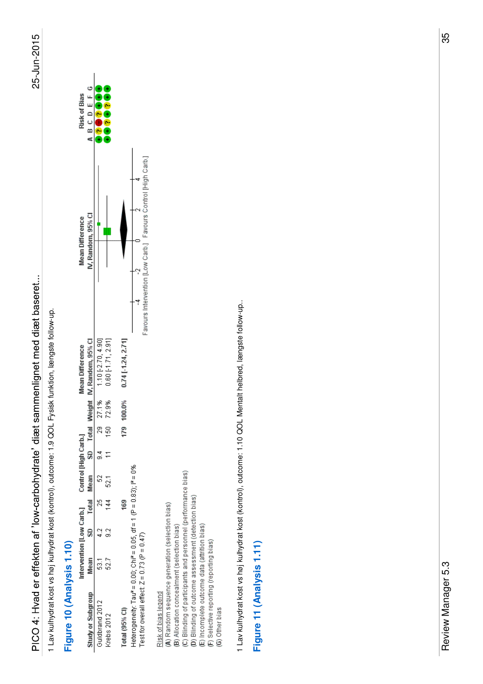1 Lav kulhydrat kost vs høj kulhydrat kost (kontrol), outcome: 1.9 QOL Fysisk funktion, længste follow-up. 1 Lav kulhydrat kost vs høj kulhydrat kost (kontrol), outcome: 1.9 QOL Fysisk funktion, længste follow-up.

#### Figure 10 (Analysis 1.10) **Figure 10 (Analysis 1.10)**

| <b>Figure TV (Anialysis T.TV)</b>                                   |                          |   |     |                      |     |        |                                    |                                                               |                     |
|---------------------------------------------------------------------|--------------------------|---|-----|----------------------|-----|--------|------------------------------------|---------------------------------------------------------------|---------------------|
|                                                                     | Intervention [Low Carb.] |   |     | Control [High Carb.] |     |        | <b>Mean Difference</b>             | <b>Mean Difference</b>                                        | <b>Risk of Bias</b> |
| Study or Subgroup                                                   | Mean                     | ສ |     | Total Mean           |     |        | SD Total Weight IV, Random, 95% Cl | IV, Random, 95% CI                                            | ABCDEFG             |
| Guidbrand 2012                                                      | 53                       |   |     |                      | g   | 27.1%  | $1.10[-2.70, 4.90]$                |                                                               |                     |
| Krebs 2012                                                          | 527                      |   |     |                      | S   | 72.9%  | $0.60$ [-1.71, 2.91]               |                                                               |                     |
| Total $(95%$ Cl)                                                    |                          |   | 169 |                      | 179 | 100.0% | $0.74$ [ 1.24, 2.71]               |                                                               |                     |
| Heterogeneity: Tau* = 0.00; Chi* = 0.05, df = 1 (P = 0.83); i* = 0% |                          |   |     |                      |     |        |                                    |                                                               |                     |
| Test for overall effect: $Z = 0.73$ (P = 0.47)                      |                          |   |     |                      |     |        |                                    | Favours Intervention [Low Carb.] Favours Control [High Carb.] |                     |
| Risk of bias legend                                                 |                          |   |     |                      |     |        |                                    |                                                               |                     |
| (A) Random sequence generation (selection bias)                     |                          |   |     |                      |     |        |                                    |                                                               |                     |
| (B) Allocation concealment (selection bias)                         |                          |   |     |                      |     |        |                                    |                                                               |                     |
| (C) Blinding of participants and personnel (performance bias)       |                          |   |     |                      |     |        |                                    |                                                               |                     |
| (D) Blinding of outcome assessment (detection bias)                 |                          |   |     |                      |     |        |                                    |                                                               |                     |
| (E) Incomplete outcome data (attrition bias)                        |                          |   |     |                      |     |        |                                    |                                                               |                     |
| (F) Selective reporting (reporting bias)                            |                          |   |     |                      |     |        |                                    |                                                               |                     |
| (G) Other bias                                                      |                          |   |     |                      |     |        |                                    |                                                               |                     |

1 Lav kulhydrat kost vs høj kulhydrat kost (kontrol), outcome: 1.10 QOL Mentalt helbred, længste follow-up. 1 Lav kulhydrat kost vs høj kulhydrat kost (kontrol), outcome: 1.10 QOL Mentalt helbred, længste follow-up..

### Figure 11 (Analysis 1.11) **Figure 11 (Analysis 1.11)**